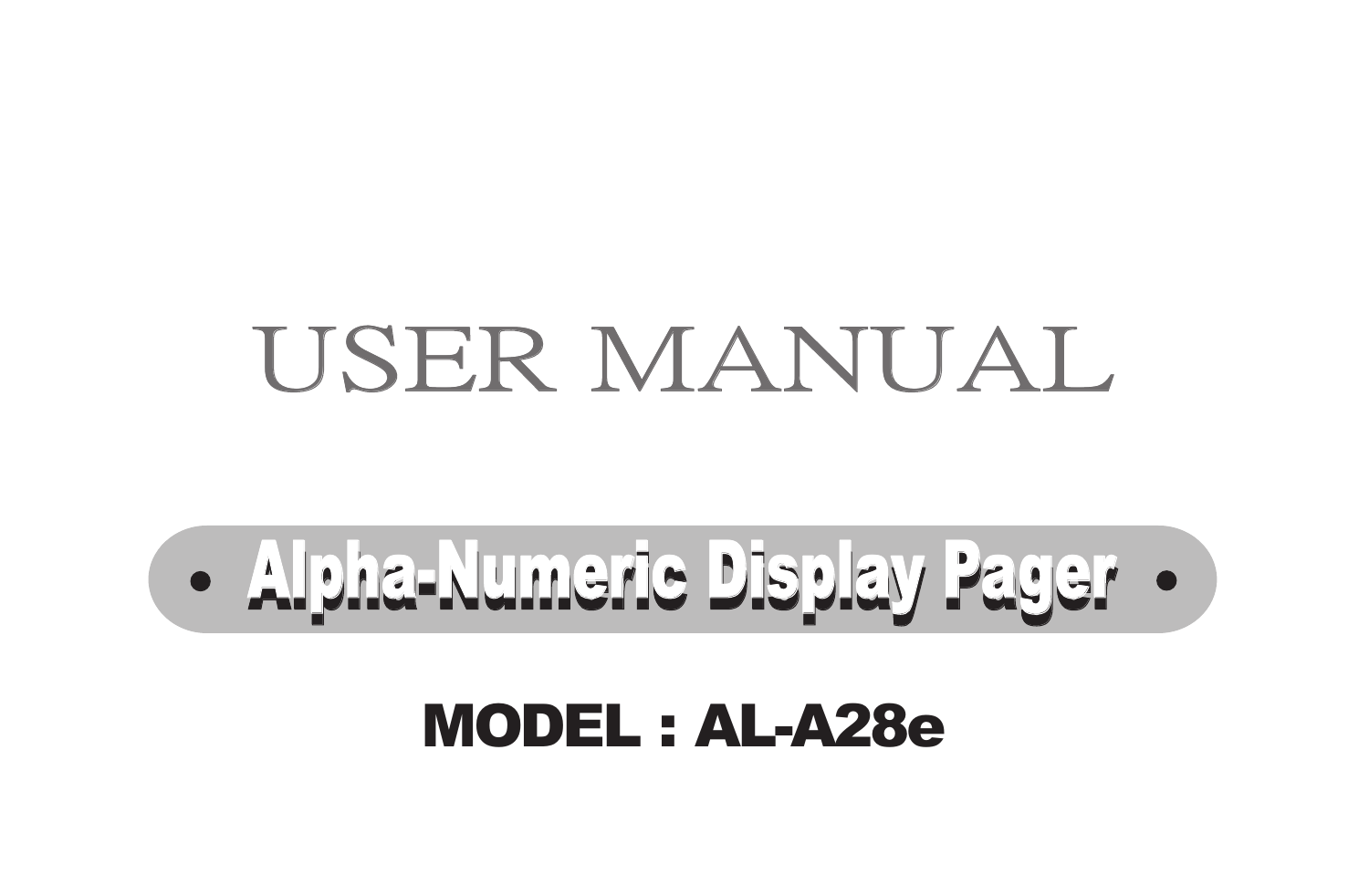## USER MANUAL

**Alpha-Numeric Display Pager** 

#### MODEL : AL-A28e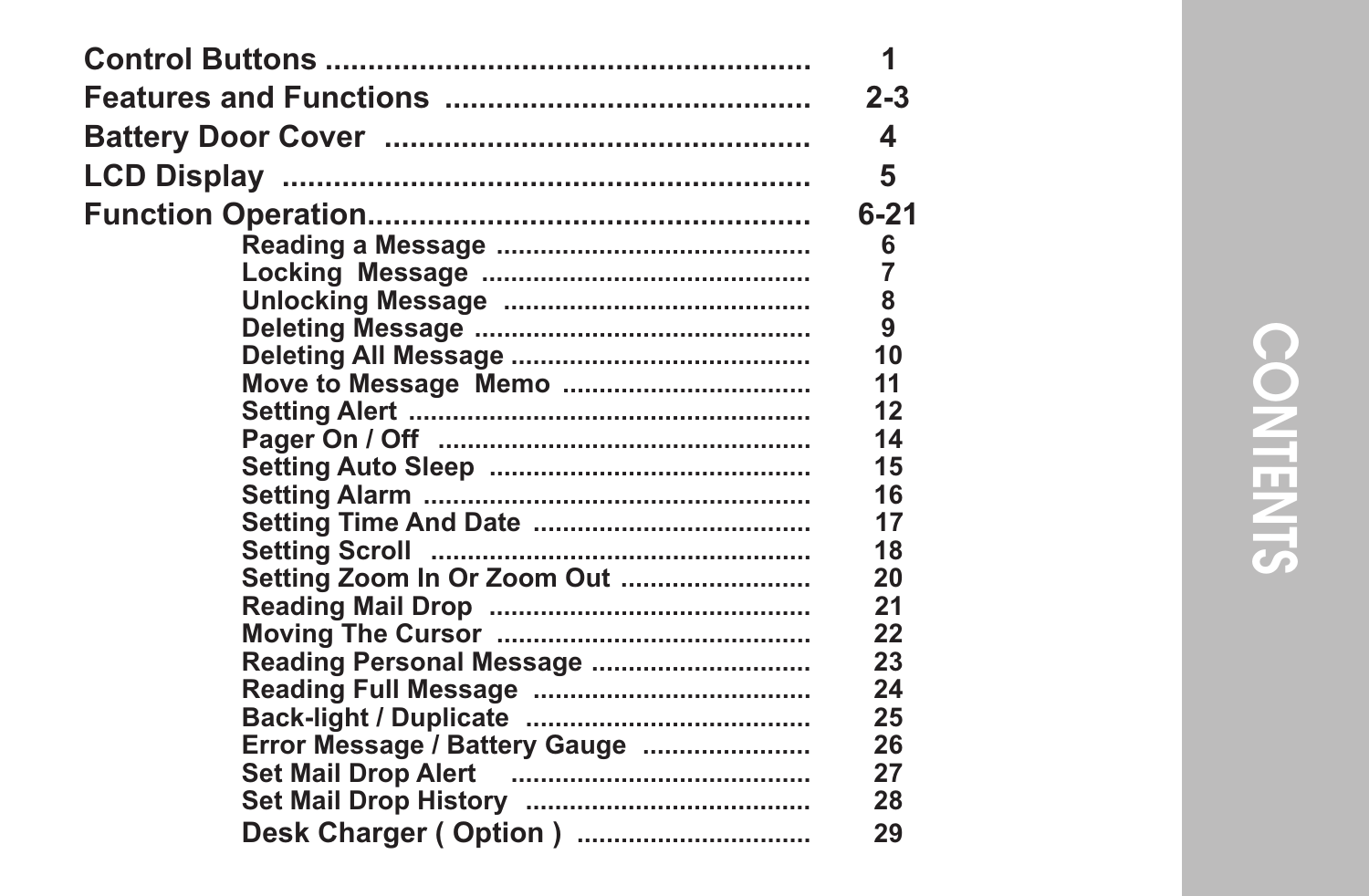|                               | 1              |
|-------------------------------|----------------|
|                               | $2 - 3$        |
|                               | 4              |
|                               | 5              |
|                               | $6 - 21$       |
|                               | 6              |
|                               | $\overline{7}$ |
|                               | 8              |
|                               | 9              |
|                               | 10             |
|                               | 11             |
|                               | 12             |
|                               | 14             |
|                               | 15             |
|                               | 16             |
|                               | 17             |
|                               | 18             |
| Setting Zoom In Or Zoom Out   | 20             |
|                               | 21             |
|                               | 22             |
| Reading Personal Message      | 23             |
|                               | 24             |
|                               | 25             |
| Error Message / Battery Gauge | 26             |
|                               | 27             |
|                               | 28             |
| Desk Charger (Option)         | 29             |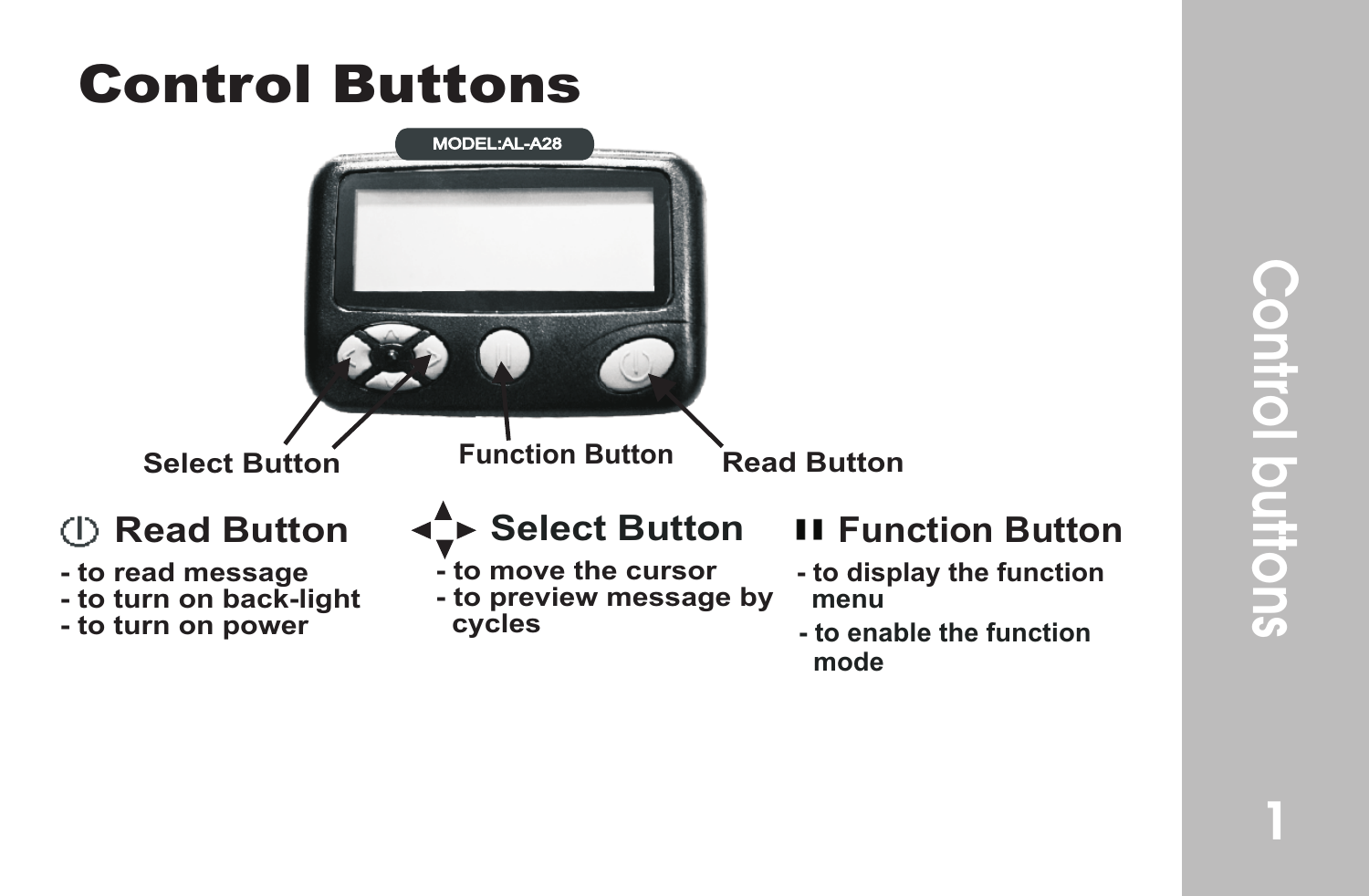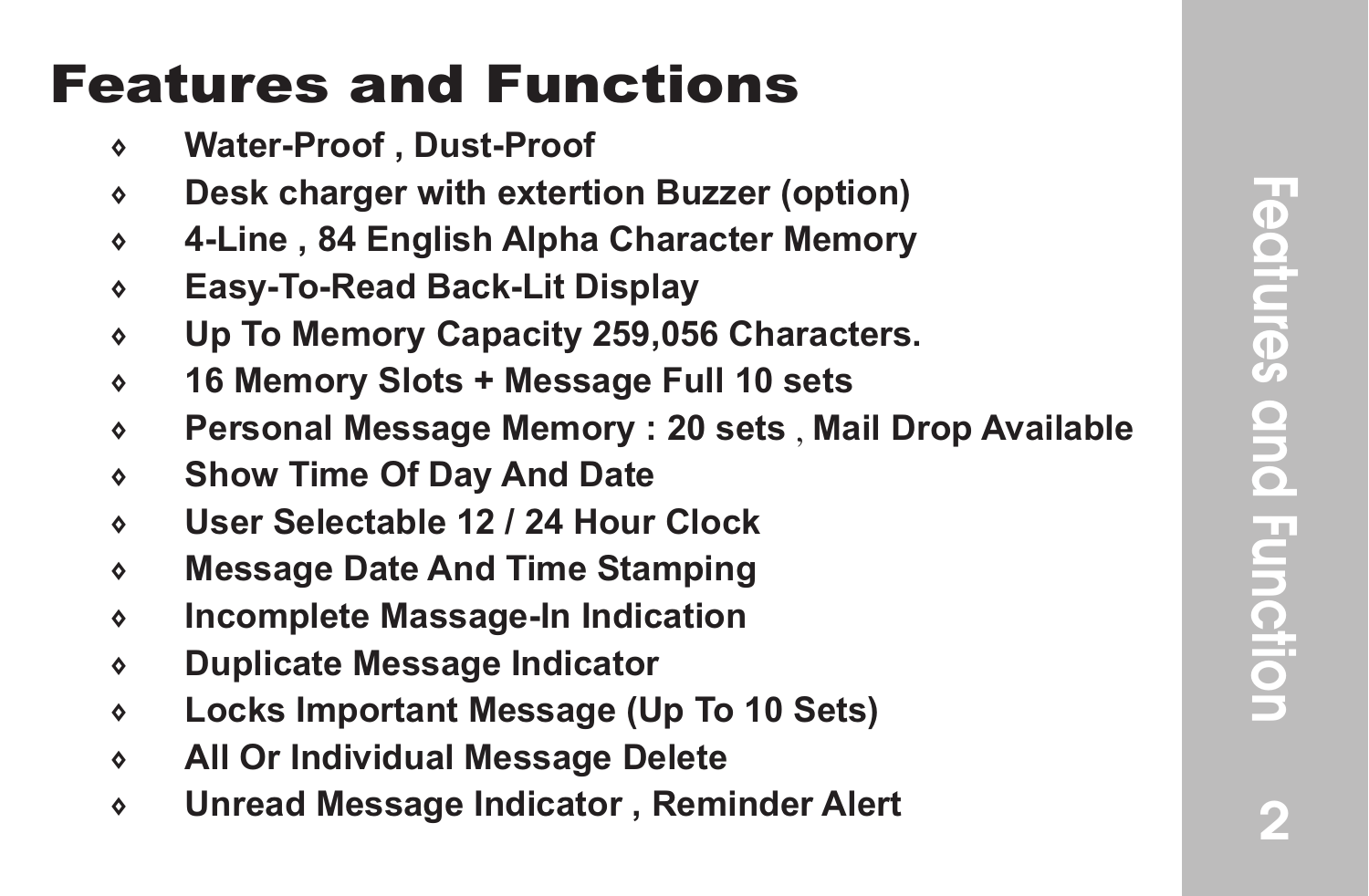#### Features and Functions

- **Water-Proof , Dust-Proof**
- **Desk charger with extertion Buzzer (option)**
- **4-Line , 84 English Alpha Character Memory**
- **Easy-To-Read Back-Lit Display**
- **Up To Memory Capacity 259,056 Characters.**
- **16 Memory Slots + Message Full 10 sets**
- **Personal Message Memory : 20 sets** , **Mail Drop Available**
- **Show Time Of Day And Date**
- **User Selectable 12 / 24 Hour Clock**
- **Message Date And Time Stamping**
- **Incomplete Massage-In Indication**
- **Duplicate Message Indicator**
- **Locks Important Message (Up To 10 Sets)**
- **All Or Individual Message Delete**
- **Unread Message Indicator , Reminder Alert**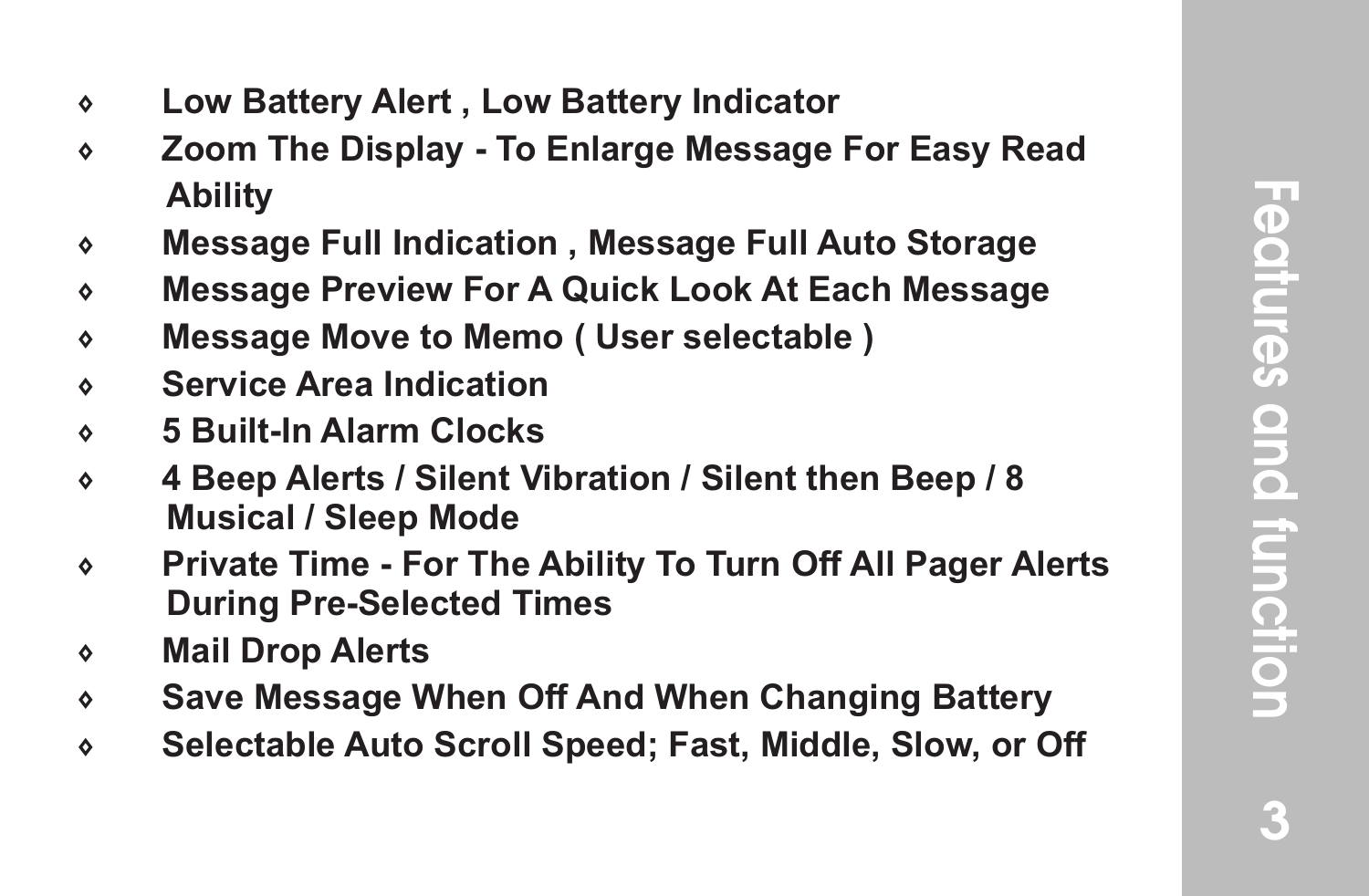- 7 **Low Battery Alert , Low Battery Indicator**
- 7 **Zoom The Display To Enlarge Message For Easy Read Ability**
- 7 **Message Full Indication , Message Full Auto Storage**
- 7 **Message Preview For A Quick Look At Each Message**
- 7 **Message Move to Memo ( User selectable )**
- 7 **Service Area Indication**
- 7 **5 Built-In Alarm Clocks**
- 7 **4 Beep Alerts / Silent Vibration / Silent then Beep / 8 Musical / Sleep Mode**
- 7 **Private Time For The Ability To Turn Off All Pager Alerts During Pre-Selected Times**
- 7 **Mail Drop Alerts**
- 7 **Save Message When Off And When Changing Battery**
- 7 **Selectable Auto Scroll Speed; Fast, Middle, Slow, or Off**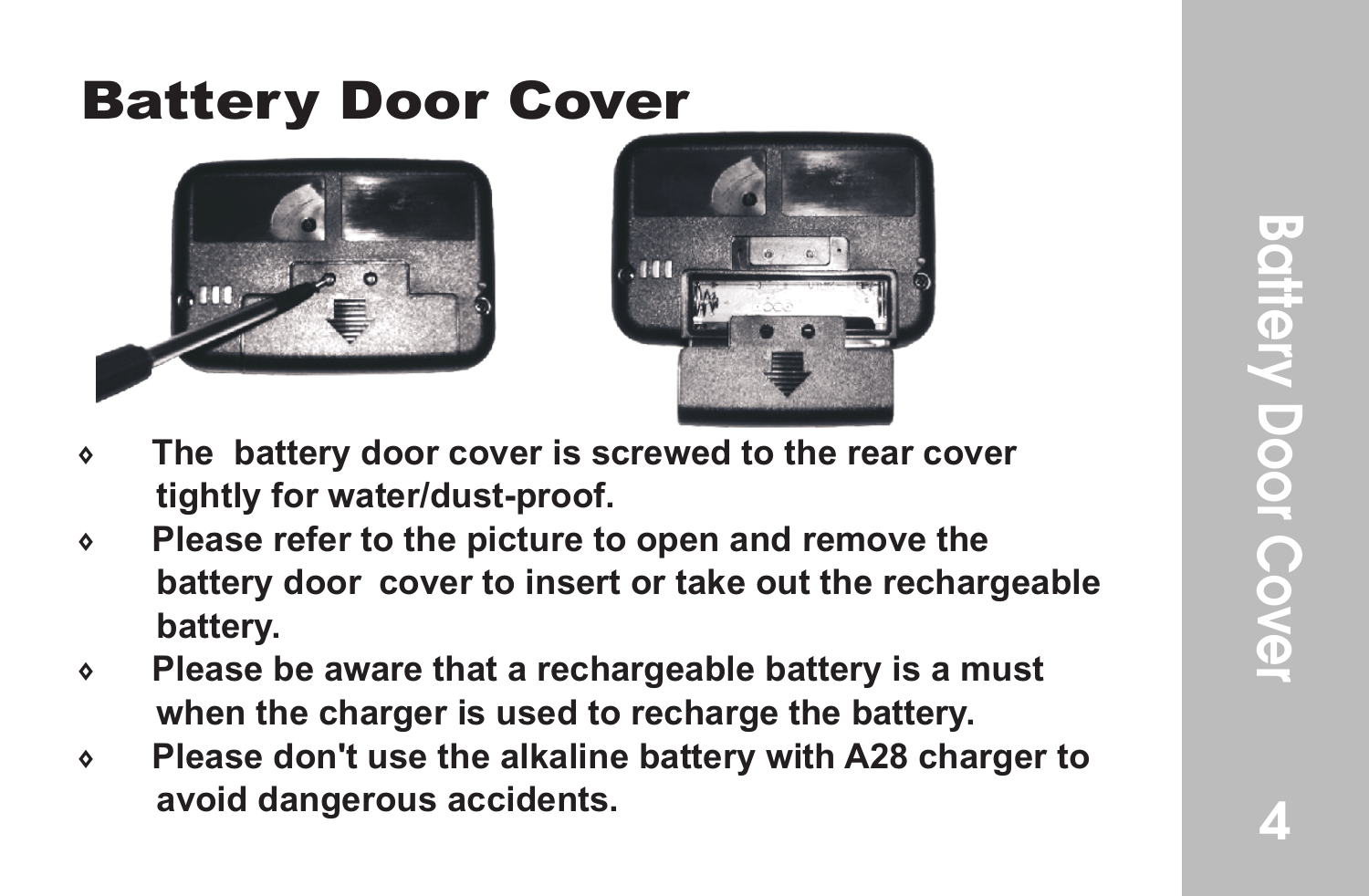#### Battery Door Cover





- 7 **The battery door cover is screwed to the rear cover tightly for water/dust-proof.**
- 7 **Please refer to the picture to open and remove the battery door cover to insert or take out the rechargeable battery.**
- 7 **Please be aware that a rechargeable battery is a must when the charger is used to recharge the battery.**
- 7 **Please don't use the alkaline battery with A28 charger to avoid dangerous accidents.**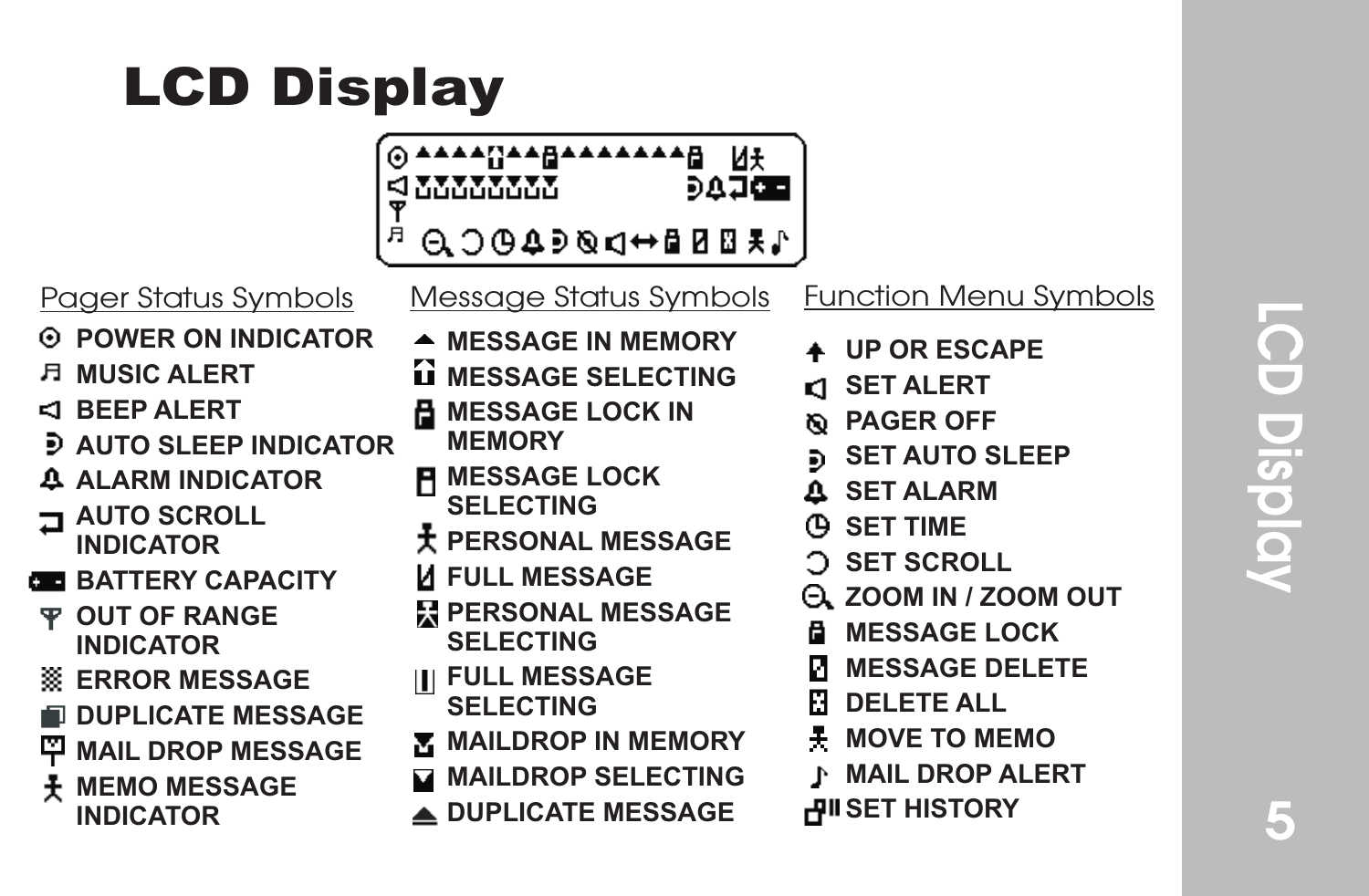#### LCD Display

| <sub>▚</sub> ѧŗ <sub>Ĩ</sub> ѧѧ <u>⋻</u> ѧѧѧѧѧѧѧѦ<br>൝൜൜ |  |
|----------------------------------------------------------|--|
| ₩₩⊞B₽₩₽®⊄Ф®⊙                                             |  |

- *<b>POWER ON INDICATOR*
- **MUSIC ALERT**
- **BEEP ALERT**
- **AUTO SLEEP INDICATOR**
- **ALARM INDICATOR**
- **AUTO SCROLL INDICATOR**
- **BB BATTERY CAPACITY**
- **OUT OF RANGE INDICATOR**
- **ERROR MESSAGE**
- **DUPLICATE MESSAGE**
- **MAIL DROP MESSAGE**
- **MEMO MESSAGE** 
	- **INDICATOR**

| Pager Status Symbols | Message Status Symbols Function Menu Symbols |  |
|----------------------|----------------------------------------------|--|
|                      |                                              |  |

- **MESSAGE IN MEMORY**
- **MESSAGE SELECTING**
- **MESSAGE LOCK IN MEMORY**
- **MESSAGE LOCK**
- **SELECTING**
- **PERSONAL MESSAGE**
- **FULL MESSAGE**
- **PERSONAL MESSAGE SELECTING**
- **FULL MESSAGE**
- **SELECTING**
- **MAILDROP IN MEMORY**
- **MAILDROP SELECTING**
- **DUPLICATE MESSAGE**
- **UP OR ESCAPE**
- **CI SET ALERT**
- **PAGER OFF**
- **SET AUTO SLEEP**
- **SET ALARM**
- **SET TIME**
- **SET SCROLL**
- **ZOOM IN / ZOOM OUT**
- **MESSAGE LOCK**
- **MESSAGE DELETE**
- **DELETE ALL**
- **MOVE TO MEMO**
- **MAIL DROP ALERT** P.
- **HISTORY**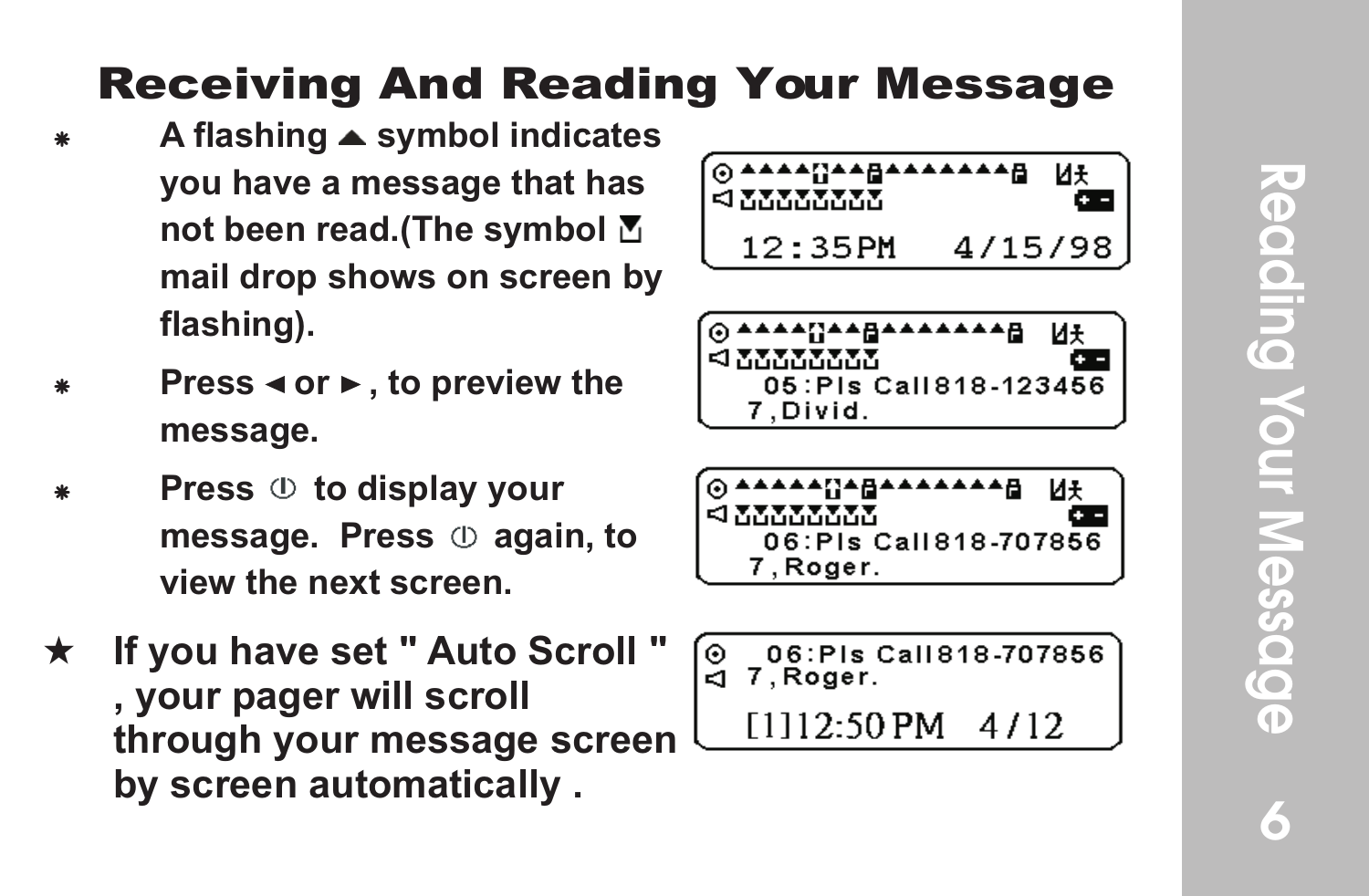#### Receiving And Reading Your Message

- A flashing ▲ symbol indicates **you have a message that has not been read.(The symbol mail drop shows on screen by flashing).**
- **Press < or ►, to preview the message.**
- **Press**  $\circledcirc$  **to display your message.** Press  $\oplus$  again, to **view the next screen.**
- If you have set " Auto Scroll " **, your pager will scroll through your message screen by screen automatically .**



|                         | иғ |
|-------------------------|----|
| <b>EXAMINATION</b>      |    |
| 05: Pis Call 818-123456 |    |
| 7. Divid.               |    |

| @ <del>^^^^^</del> {}^@^^^^^^^ | и÷ |
|--------------------------------|----|
| <b>SIMMON MAR</b>              |    |
| 06:Pls Call 818-707856         |    |
| 7.Roger.                       |    |

06: PIs Call 818-707856  $\odot$ 7.Roger ā.

[1112:50 PM] 4/12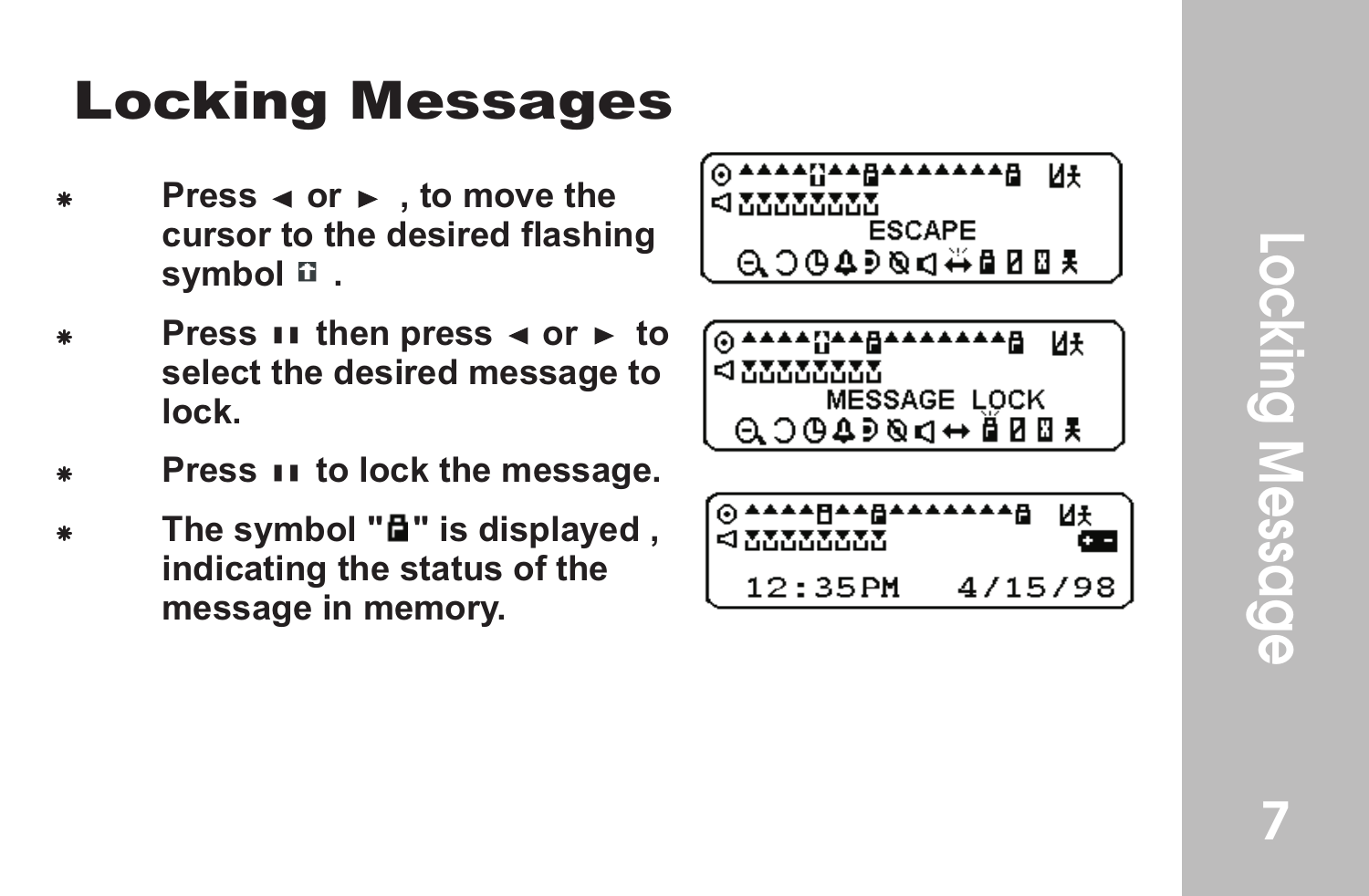#### **Locking Messages**

- **Press ⊲ or ►**, to move the **cursor to the desired flashing symbol .**
- **Press**  $\mathbf{H}$  then press  $\triangleleft$  or  $\triangleright$  to **select the desired message to lock.**
- **Press 11 to lock the message.**
- The symbol " $\mathbf{F}$ " is displayed, **indicating the status of the message in memory .**

| O AAAANAABAAAAAAB |  |
|-------------------|--|
|                   |  |
| $\lhd$ XXXXXXXX   |  |
|                   |  |
| <b>ESCAPE</b>     |  |
|                   |  |
| QO⊕4∍®q#@08₹      |  |
|                   |  |
|                   |  |

| 0 AAAANAABAAAAAAB    |  |
|----------------------|--|
| <b><i>AMMANA</i></b> |  |
| <b>MESSAGE LOCK</b>  |  |
| $0.0049994 + 0.004$  |  |

| ⊙▲▲▲▲F▲▲A▲▲▲▲▲▲A<br>Е МАЛАЛАМ |         |  |
|-------------------------------|---------|--|
| 12:35PM                       | 4/15/98 |  |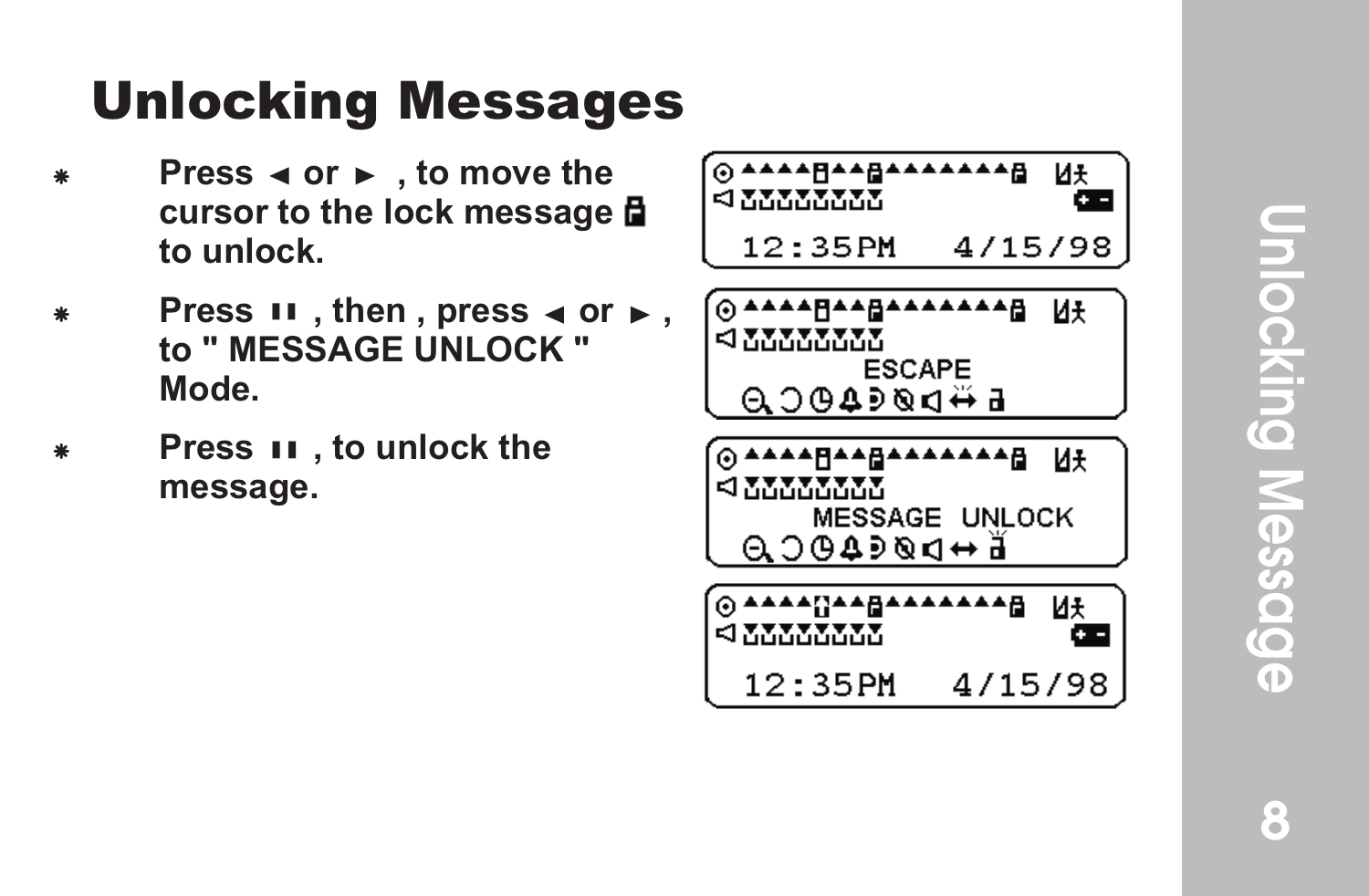#### Unlocking Messages

- **Press < or ► . to move the cursor to the lock message to unlock.**
- **Press**  $\mathbf{H}$ , then, press  $\triangleleft$  or  $\triangleright$ , **to " MESSAGE UNLOCK " Mode.**
- **Press II**, to unlock the **message.**

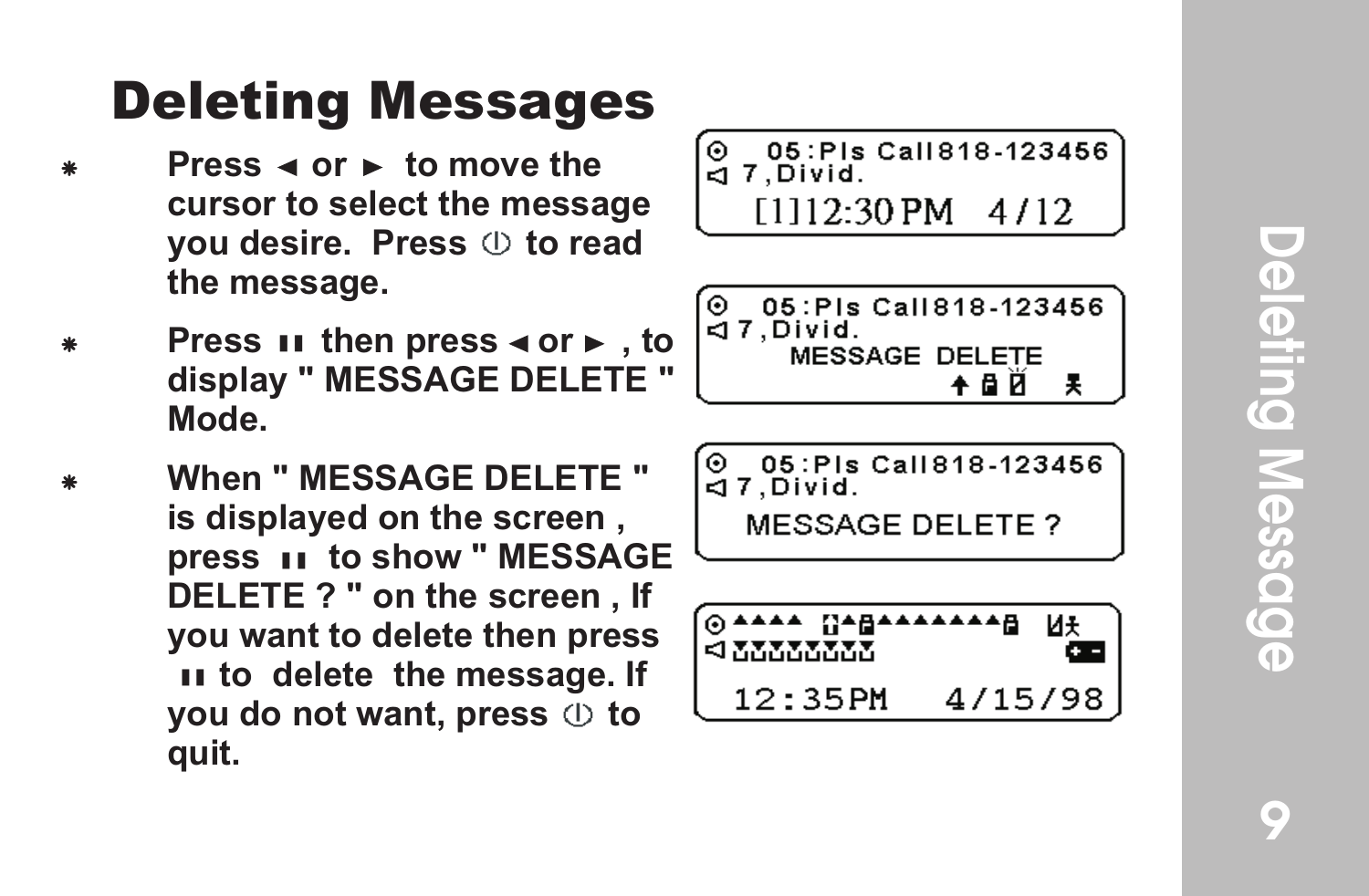#### Deleting Messages

- **Press**  $\triangleleft$  **or**  $\triangleright$  **to move the cursor to select the message you desire. Press**  $\circledcirc$  **to read the message.**
- **Press ii then press**  $\triangleleft$  **or**  $\triangleright$  **, to display " MESSAGE DELETE " Mode.**
- When " MESSAGE DELETE " **is displayed on the screen , press II to show " MESSAGE DELETE ? " on the screen , If you want to delete then press to to delete the message. If you do not want, press**  $\circledcirc$  **to quit.**

$$
\begin{array}{c} 0 & 05:PIs \text{ Call} 818-123456 \\ \text{CJ 7, Divid.} \end{array}
$$

\n
$$
\begin{array}{r}\n 0.05:PIs Call818-123456 \\
 \hline\n 47, Divid. \\
 \quad \text{MESSAGE DELETE} \\
 \quad \text{+ B} \quad \text{\AA} \\
 \end{array}
$$
\n

05: PIs Call 818-123456  $\bullet$ ă 7.Divid.

**MESSAGE DELETE?** 

$$
\underbrace{0 \text{---} 0}_{12 \text{---} 12 \text{---} 4 / 15 / 98}^{0 \text{---} 12}
$$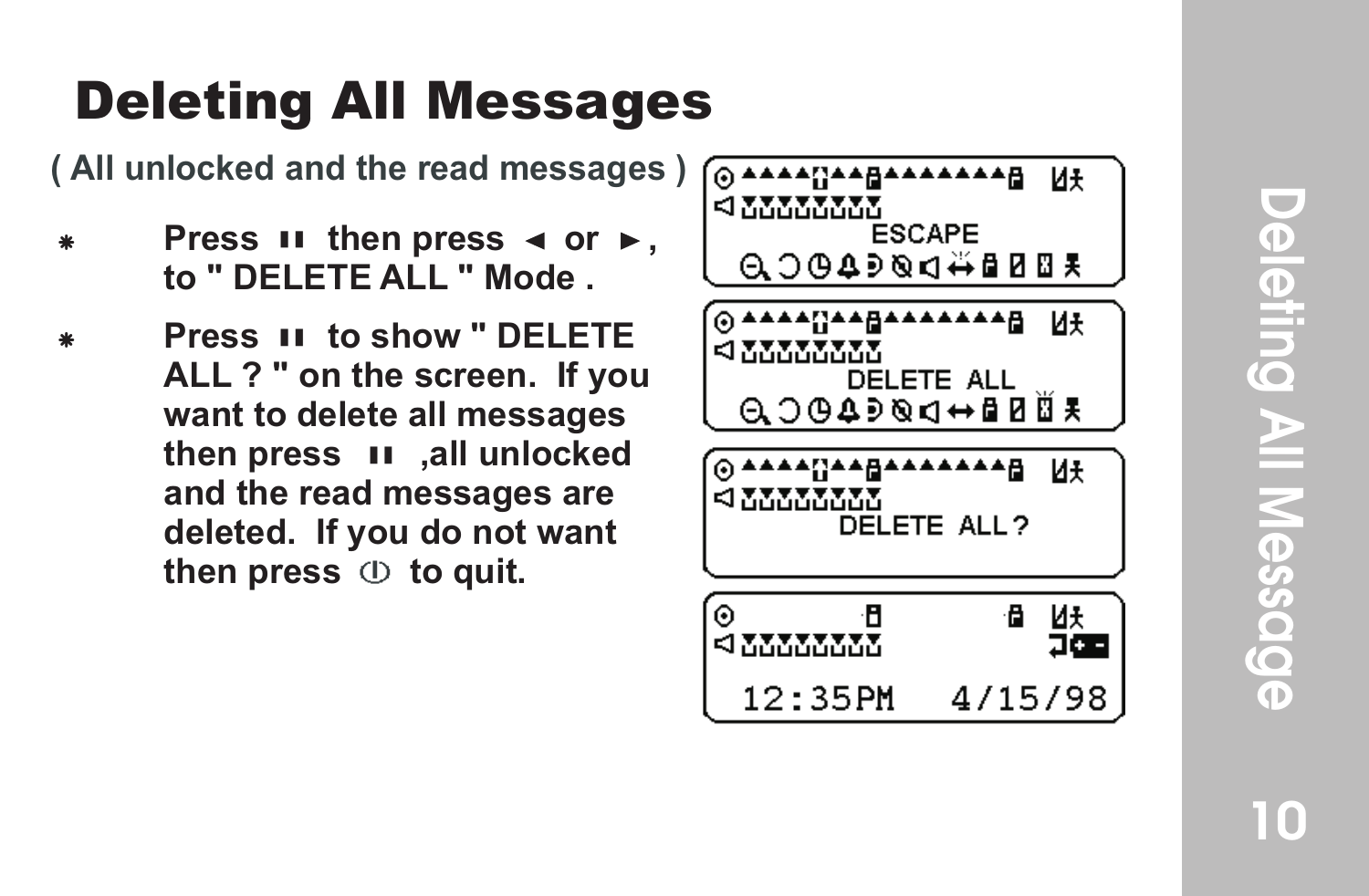#### Deleting All Messages

**( All unlocked and the read messages )**

- **Press**  $\mathbf{H}$  then press  $\mathbf{A}$  or  $\mathbf{F}$ , **to " DELETE ALL " Mode .**
- F **Press to show " DELETE ALL ? " on the screen. If you want to delete all messages**  then press **II**, all unlocked **and the read messages are deleted. If you do not want**  then press  $\oplus$  to quit.

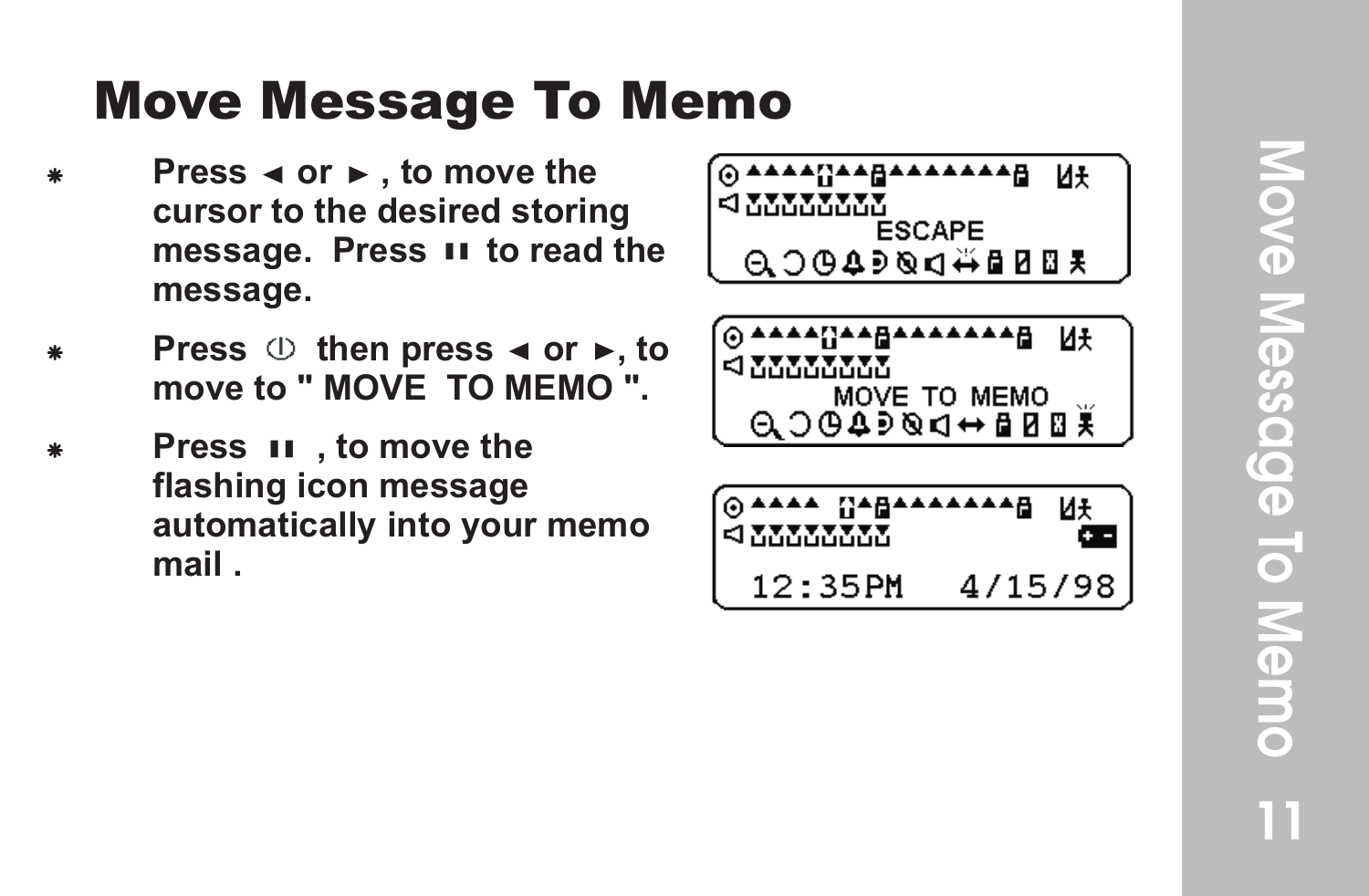#### Mo ve Message To Memo

- **Press < or ►, to move the cursor to the desired storing message. Press II to read the message.**
- **Press**  $\oplus$  then press  $\triangleleft$  or  $\triangleright$ , to **move to " MOVE TO MEMO ".**
- Press  $\overline{\mathbf{u}}$ , to move the **flashing icon message automatically into your memo mail .**

| н<br>ESCAPE<br>A 3 8 4 ∌ ® ⊄ 4 9 8 \$     | Иŧ |
|-------------------------------------------|----|
| .∧∧⊟<br>MOVE TO MEMO<br>$0.004900 + 0007$ | Иŧ |
| ٠Α<br>4/15/98<br>12.35PM                  | И¥ |

Move Message To Memo Nove Message To Memo<br>
1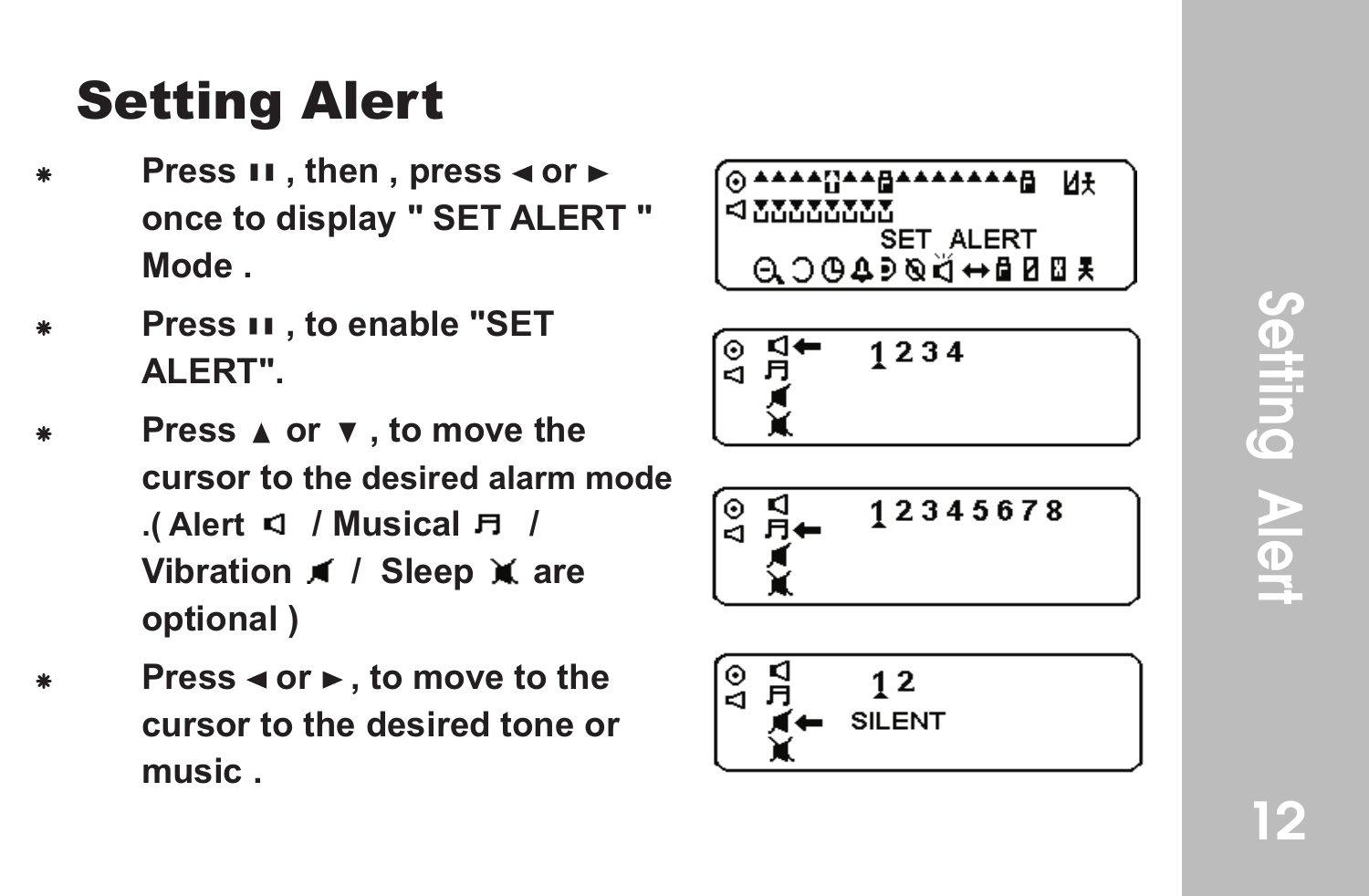#### Setting Alert

- **Press II**, then, press < or  $\triangleright$ **once to display " SET ALERT " Mode .**
- **Press II. to enable "SET ALERT".**
- **Press ▲ or ▼, to move the cursor to the desired alarm mode .(Alert 1 / Musical Fl / Vibration 1 / Sleep at are optional )**
- **Press < or ►, to move to the cursor to the desired tone or music .**

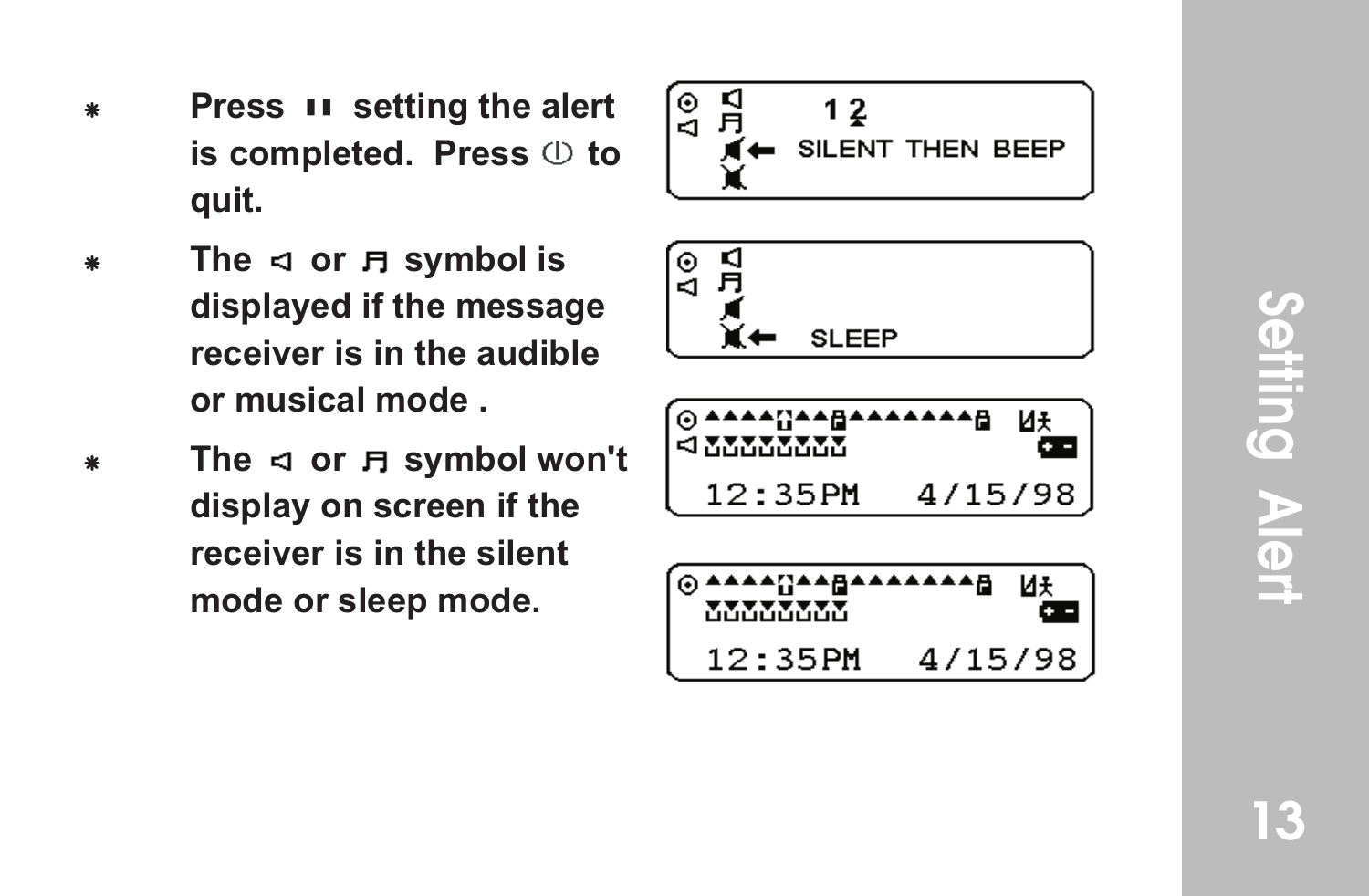- **Press II setting the alert** is completed. Press  $\circledcirc$  to **quit.**
- The  $\triangleleft$  or  $\Box$  symbol is **displayed if the message receiver is in the audible or musical mode .**
- The  $\triangleleft$  or  $\Box$  symbol won't **display on screen if the receiver is in the silent mode or sleep mode.**

$$
\begin{array}{c}\n\begin{bmatrix}\n0 & 1 \\
0 & 1 \\
1 & 2\n\end{bmatrix} \\
\hline\n\begin{matrix}\n4 & \text{SILENT THEN BEEP} \\
\hline\n\end{matrix}\n\end{array}
$$





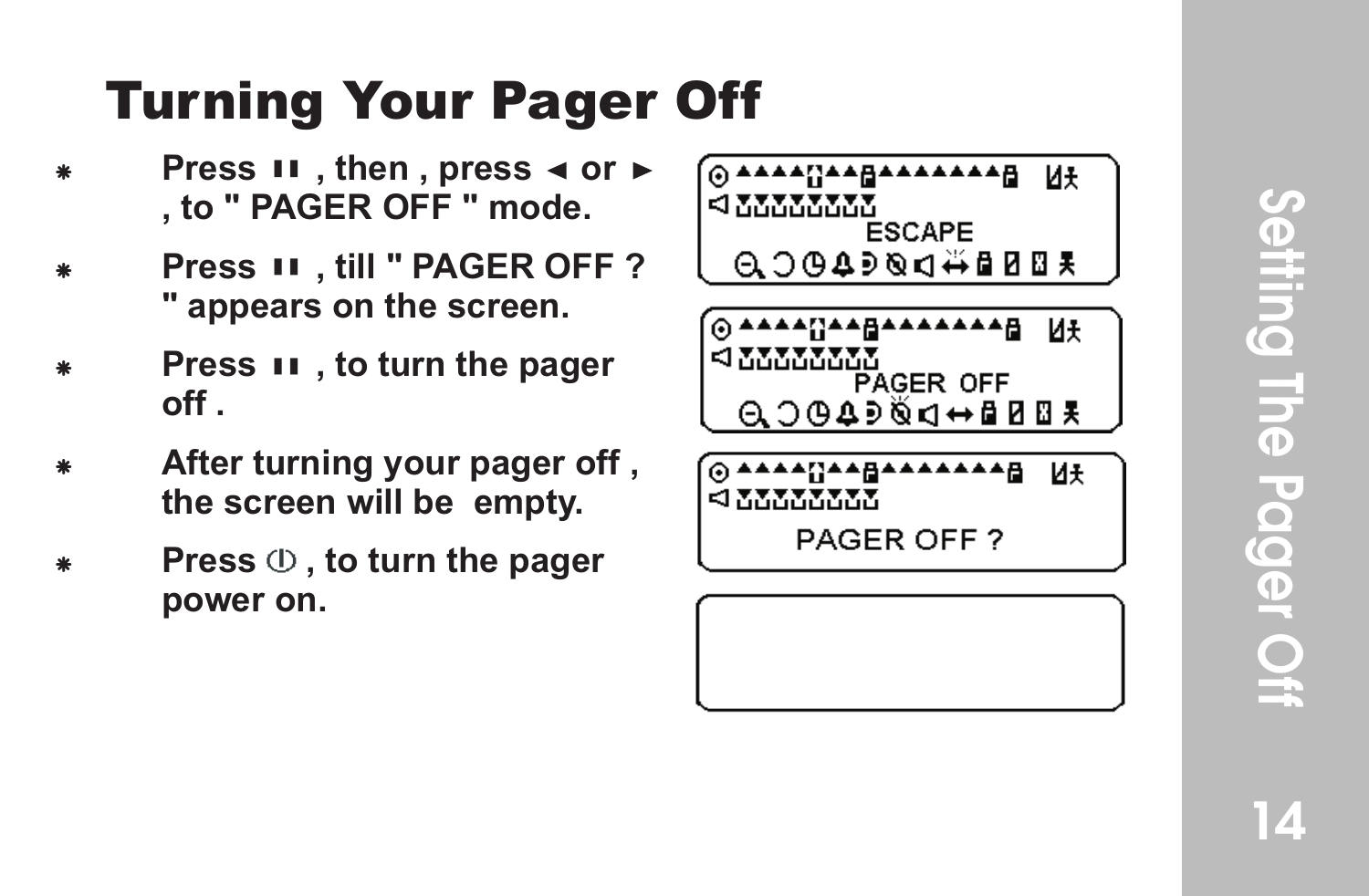#### Turning Your P ager Of f

- **Press II**, then, press  $\triangleleft$  or  $\triangleright$ **, to " PAGER OFF " mode.**
- **Press II. till " PAGER OFF? " appears on the screen.**
- **Press II**, to turn the pager **off .**
- After turning your pager off, **the screen will be empty .**
- **Press**  $\oplus$  , to turn the pager **power on.**

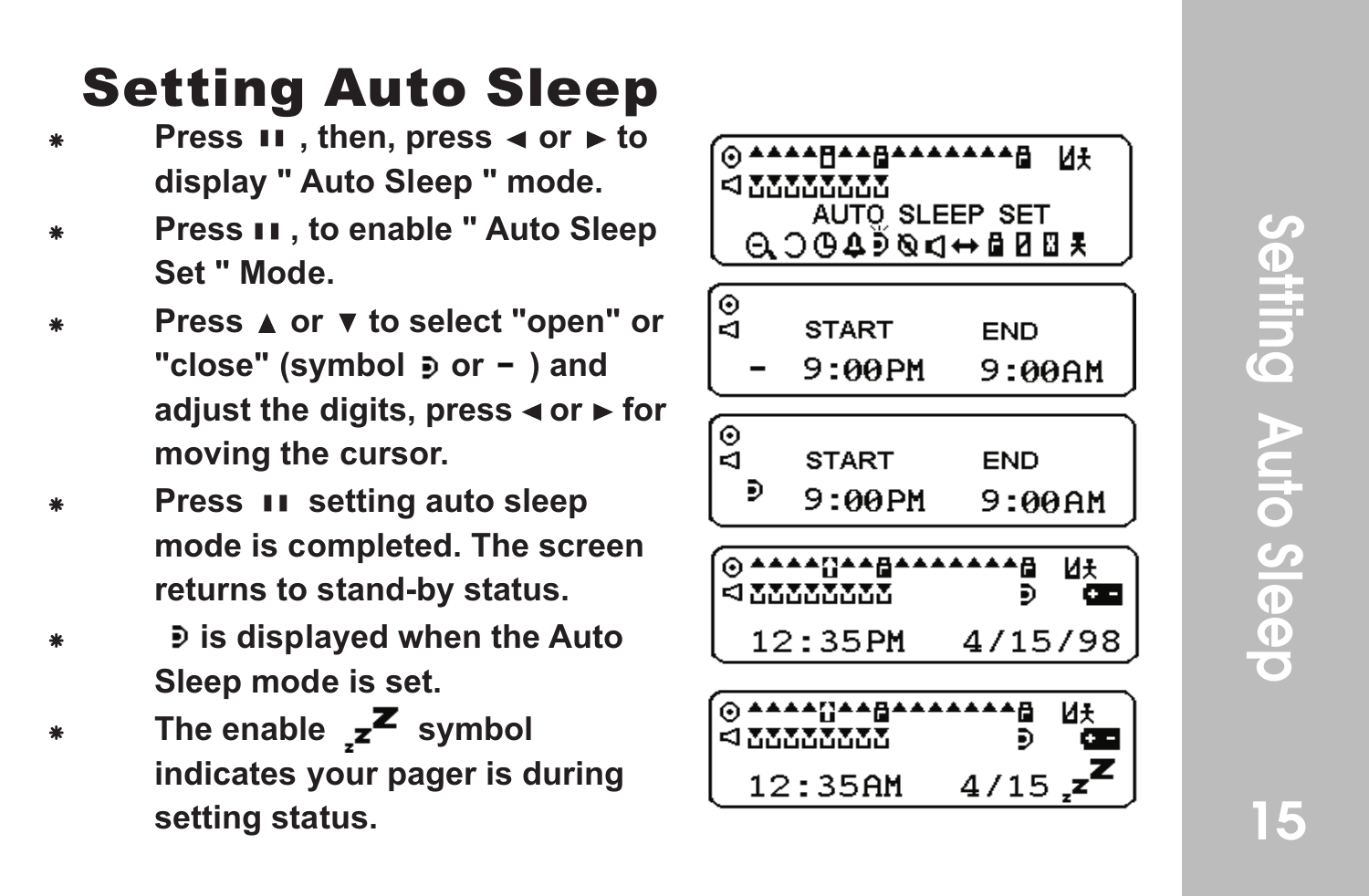# Setting Setting<br>Setting<br>Setting<br>Setting **Auto Sleep**

#### Setting Auto Sleep

- Press **II**, then, press ◀ or ► to **display " Auto Sleep " mode.**
- **Press II. to enable " Auto Sleep Set " Mode.**
- **Press ▲ or ▼ to select "open" or** "close" (symbol  $\ge$  or - ) and adjust the digits, press **◀** or ► for **moving the cursor .**
- **Press II setting auto sleep mode is completed. The screen returns to stand-by status.**
- F **is displayed when the Auto Sleep mode is set.**
- The enable  $z^2$  symbol **indicates your pager is during setting status.**

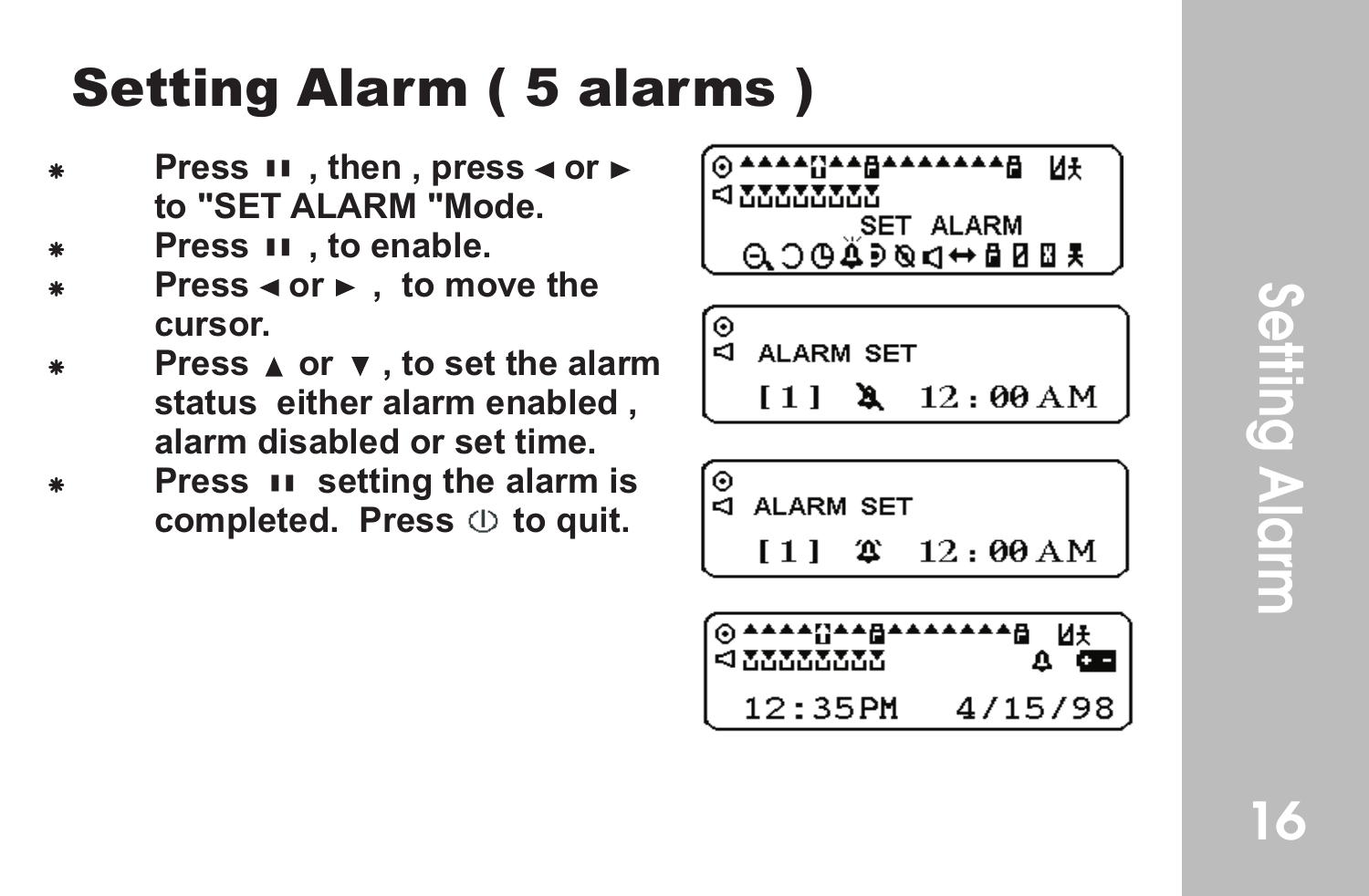#### se<br>= ni g  $\blacktriangleright$  $\overline{\mathbf{o}}$ mr

#### Setting Alarm ( 5 alarms )

- **Press II**, then, press ◀ or ► **to "SET ALARM "Mode.**
- **Press II** . to enable.
- **Press < or ►** , to move the **cursor.**
- **Press A** or **v**, to set the alarm **status either alarm enabled , alarm disabled or set time.**
- **Press II setting the alarm is** completed. Press  $\oplus$  to quit.



∫⊙<br>∣⊲ ALARM SET

 $[1]$  **4** 12:00 AM

$$
\begin{array}{c}\n\circ \\
\circ \\
\hline\n\downarrow \\
\hline\n\end{array}
$$
 ALARM SET\n  
\n
$$
\begin{array}{c}\n[11 \quad 2 \quad 12 : \theta\theta \text{ AM} \\
\hline\n\end{array}
$$

$$
\underbrace{0.23525555}_{12.357M} \underbrace{0.435255555}_{4/15/98}
$$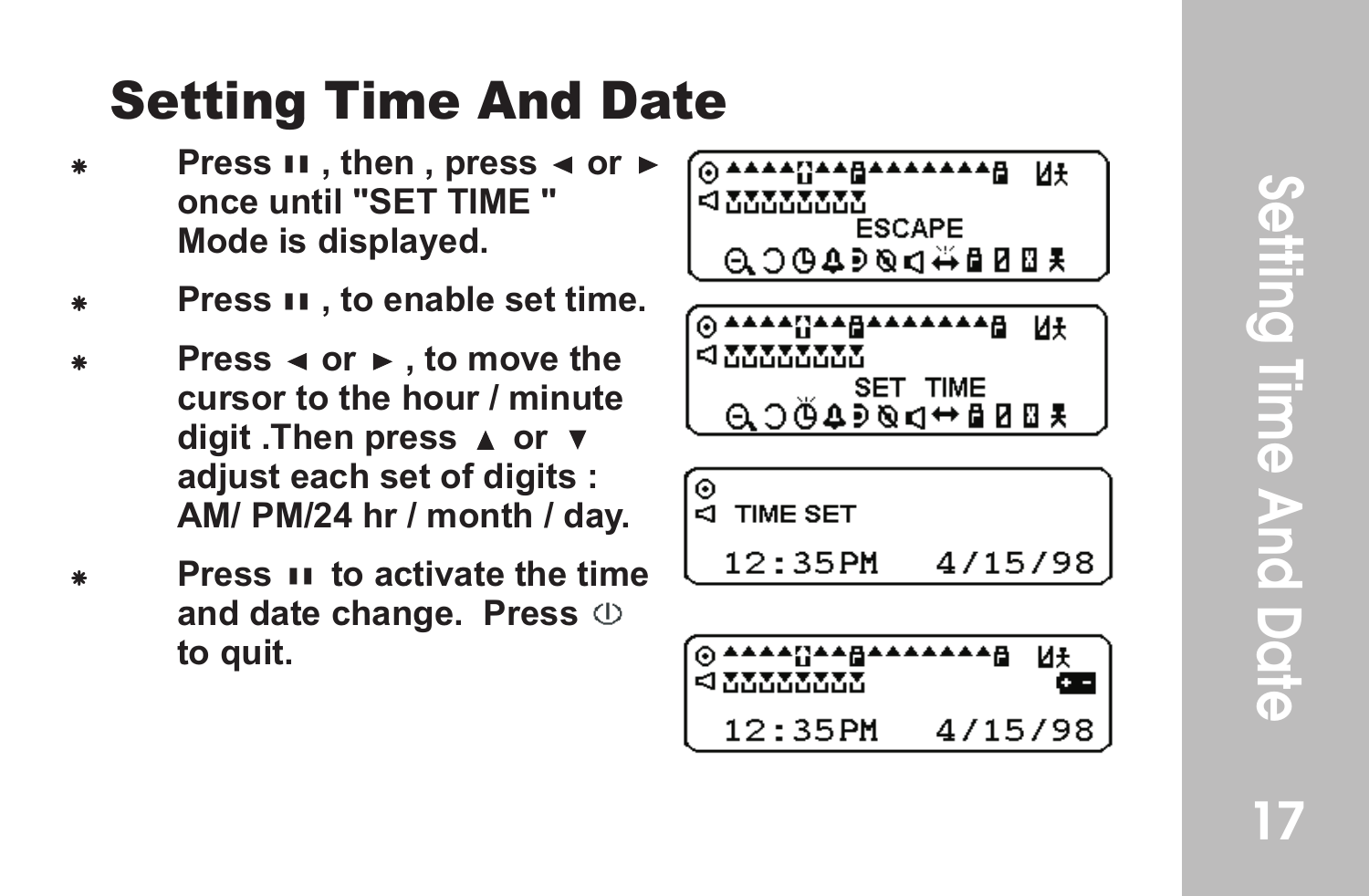#### Setting Time And Date

- **Press II**, then, press ◀ or ► **once until "SET TIME " Mode is displayed.**
- **Press II**, to enable set time.
- **Press**  $\triangleleft$  **or**  $\triangleright$  **, to move the cursor to the hour / minute**  digit .Then press **▲** or  $\boldsymbol{v}$ **adjust each set of digits : AM/ PM/24 hr / month / day .**
- **Press II to activate the time and date change. Press to quit.**

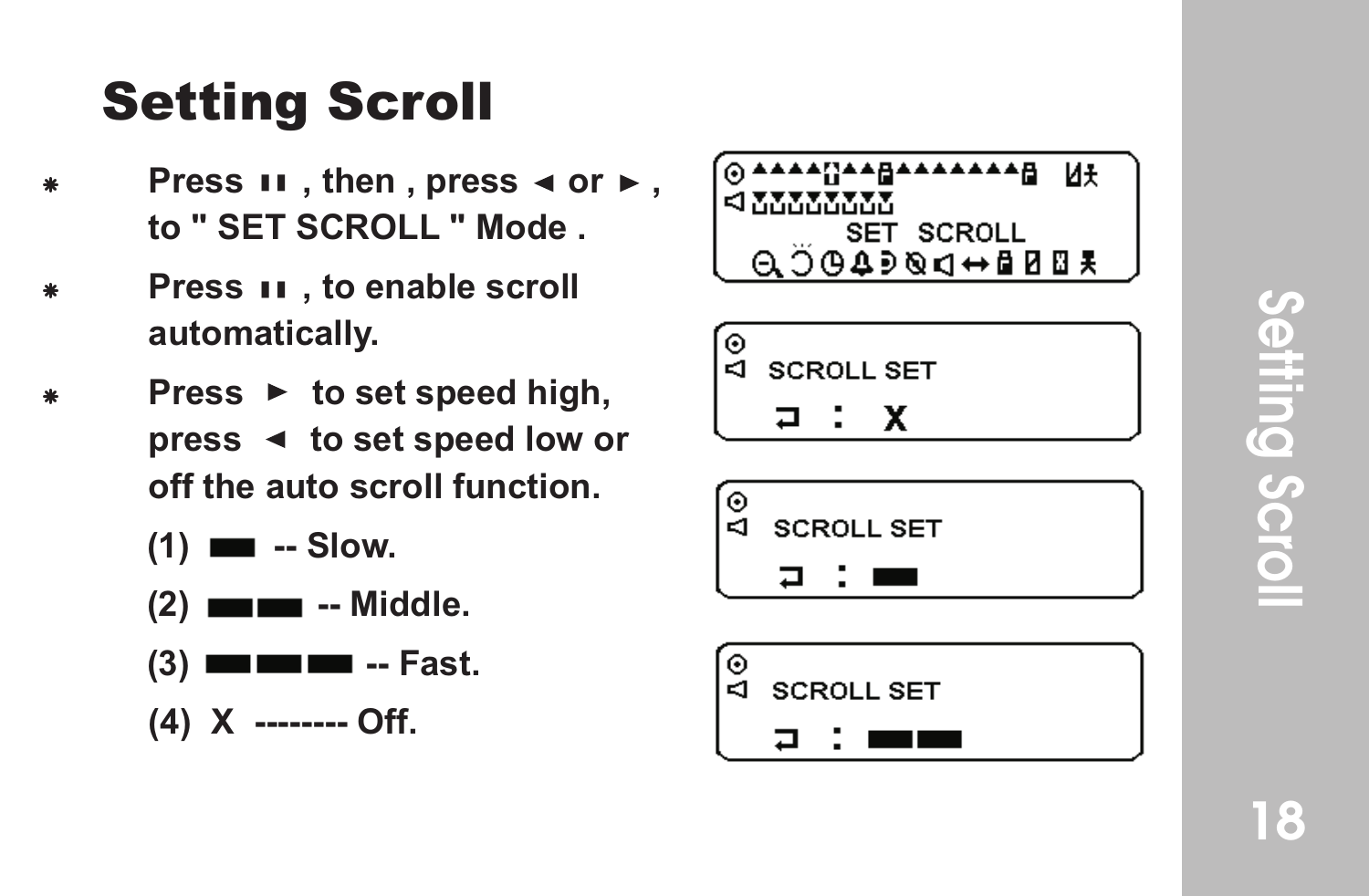#### Setting Scroll

- Press **II**, then, press ◀ or ►, **to " SET SCROLL " Mode .**
- Press  $\boldsymbol{\mathsf{u}}$  , to enable scroll **automatically .**
- Press ► to set speed high, press < to set speed low or **off the auto scroll function.**
	- **(1)**  $\blacksquare$  -- Slow.
	- **(2) -- Middle.**
	- **(3) Fast.**
	- **(4) X -------- Off.**

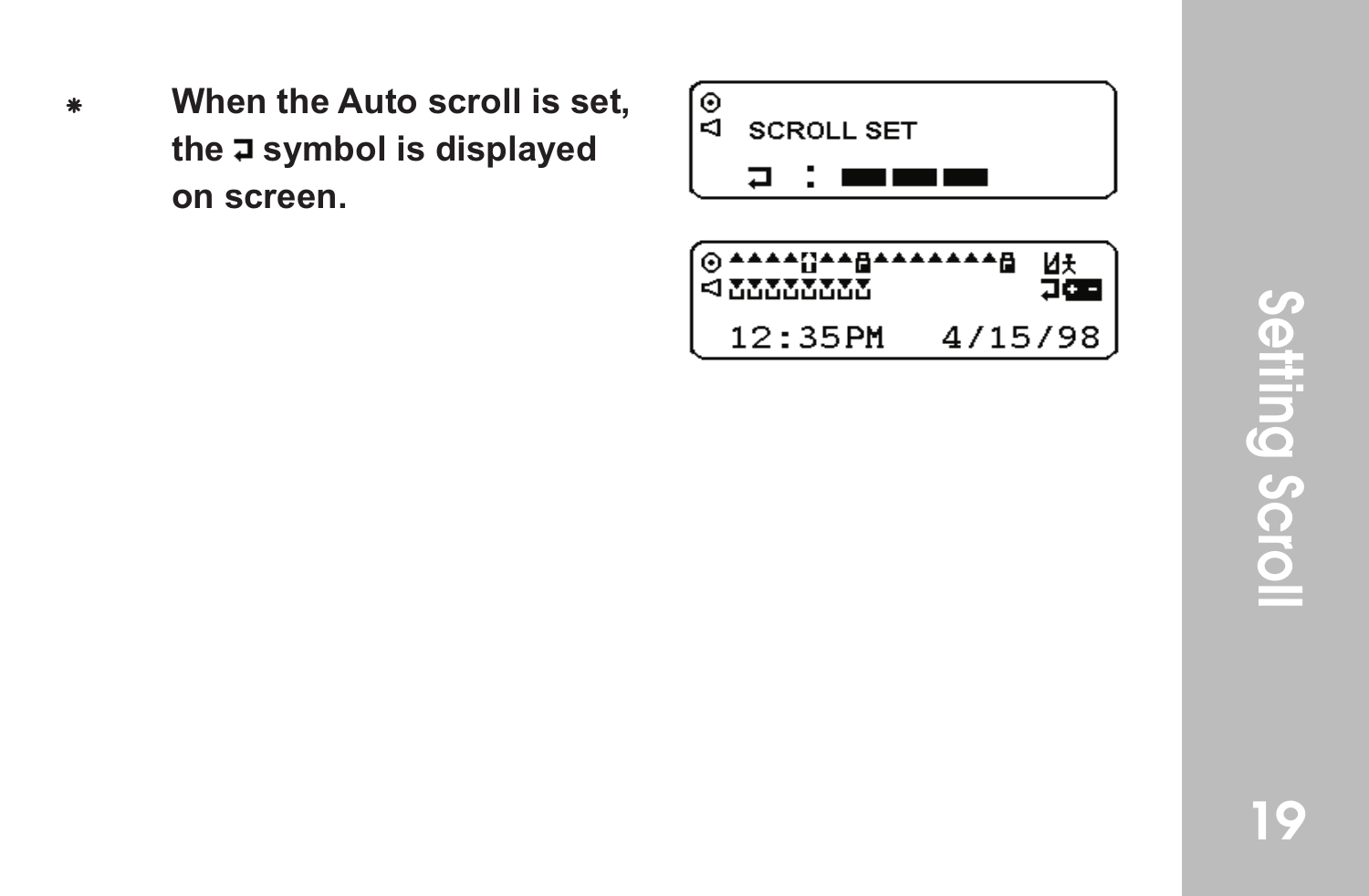When the Auto scroll is set, **the symbol is displayed on screen.**



4/15/98

 $< 22222222$ 

12:35PM

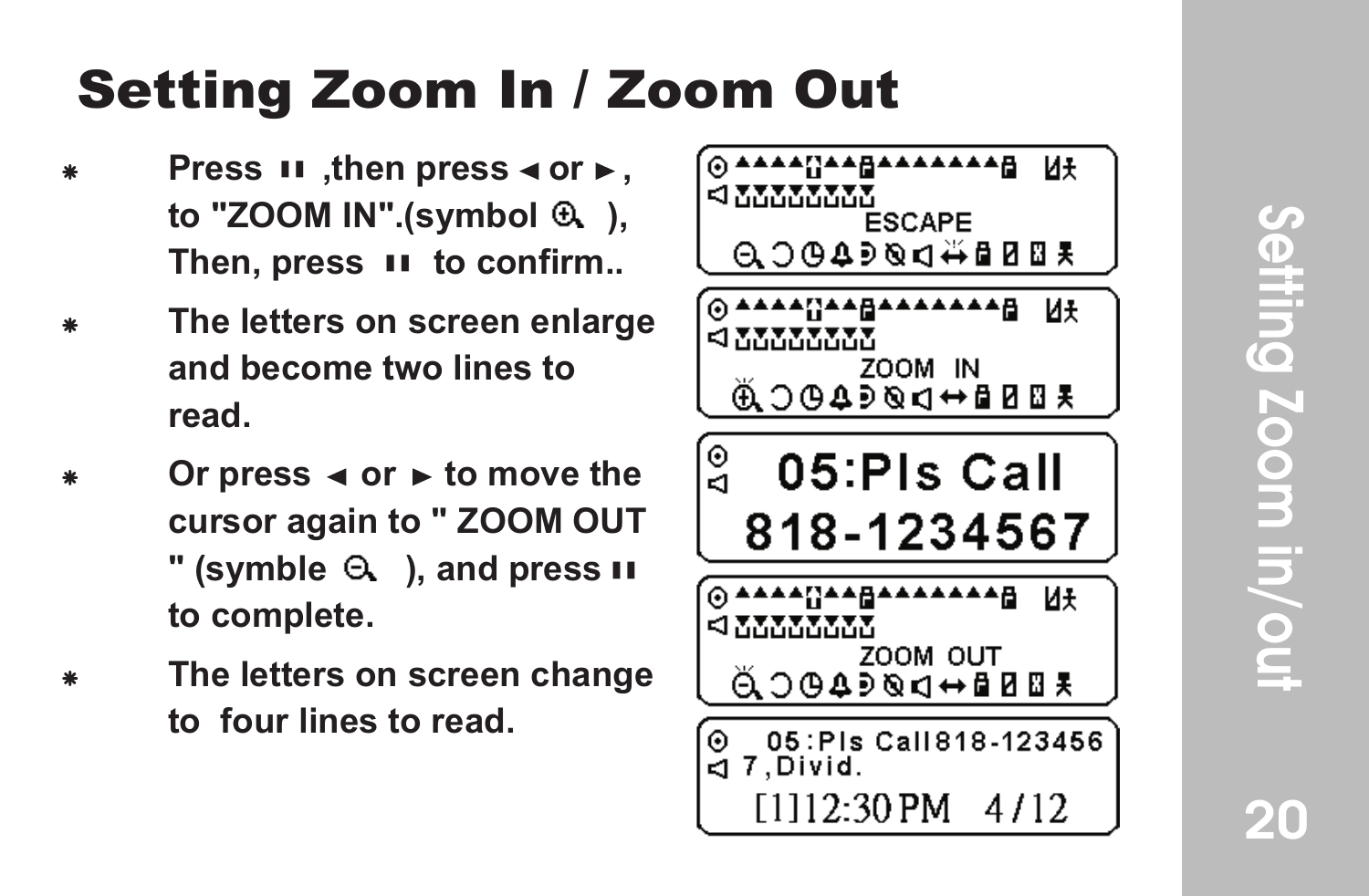20

#### Setting Zoom In / Zoom Out

- **Press II .then press ∢or ⊳. to "ZOOM IN".(symbol ),**  Then, press II to confirm...
- F **The letters on screen enlarge and become two lines to read.**
- Or press  $\triangleleft$  or  $\triangleright$  to move the **cursor again to " ZOOM OUT**   $"$  (symble  $\Theta$ ), and press  $\mathbf{u}$ **to complete.**
- **The letters on screen change to four lines to read.**

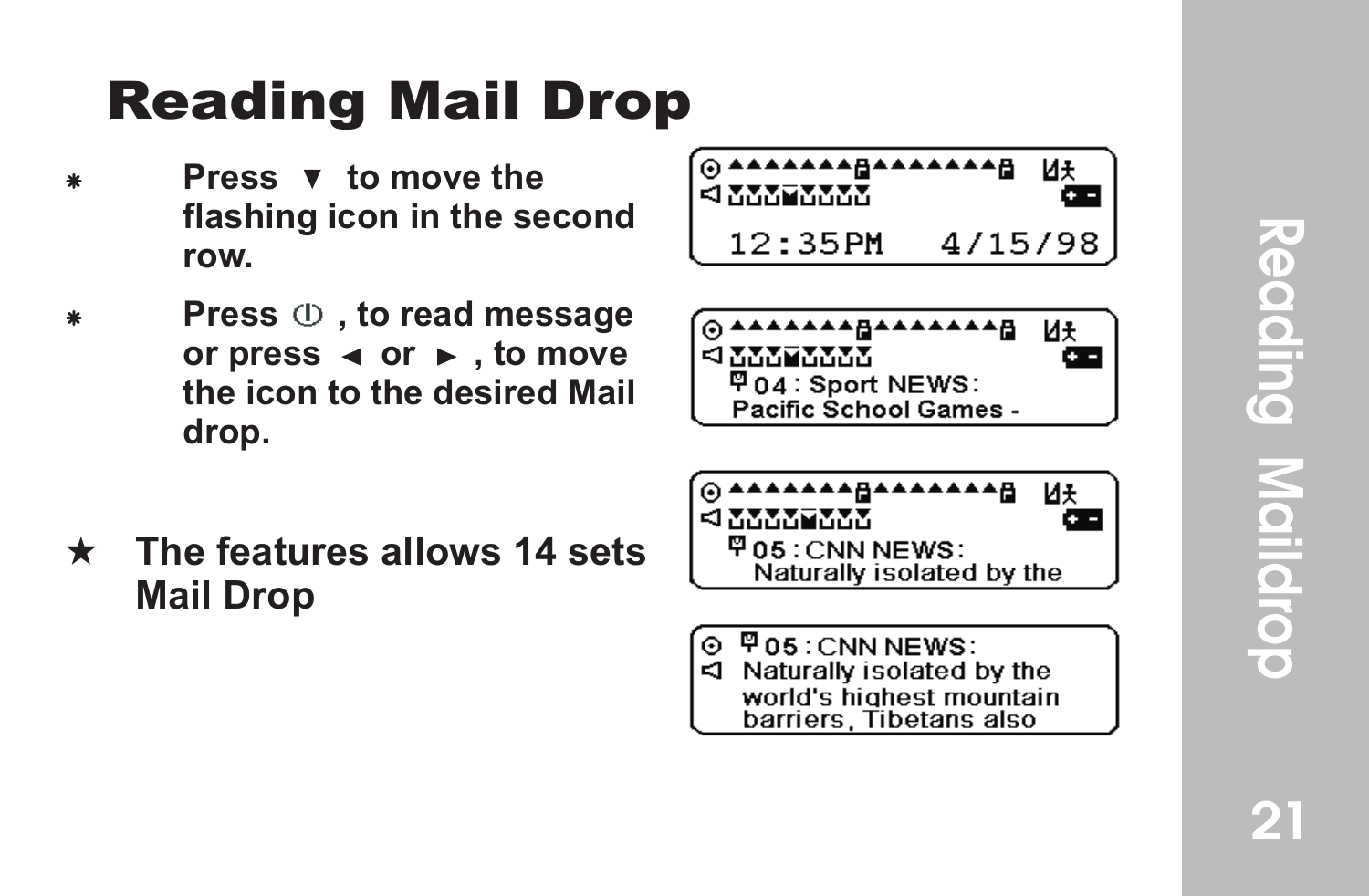### g Mail Drop

- **Press v** to move the **flashing icon in the second row .**
- Press  $\oplus$  , to read message or press  $\triangleleft$  or  $\triangleright$ , to move **the icon to the desired Mail drop. Readin**<br>Press **v**<br>flashing<br>row.<br>Press ①<br>or press<br>the icon<br>drop.<br>The featur<br>Mail Drop
- \* The features allows 14 sets





- \*\*\*\*\* И£  $< 277777777$ 甲05: CNN NEWS: Naturally isolated by the
- $\P$  05 : CNN NEWS: Naturally isolated by the ю. world's highest mountain barriers, Tibetans also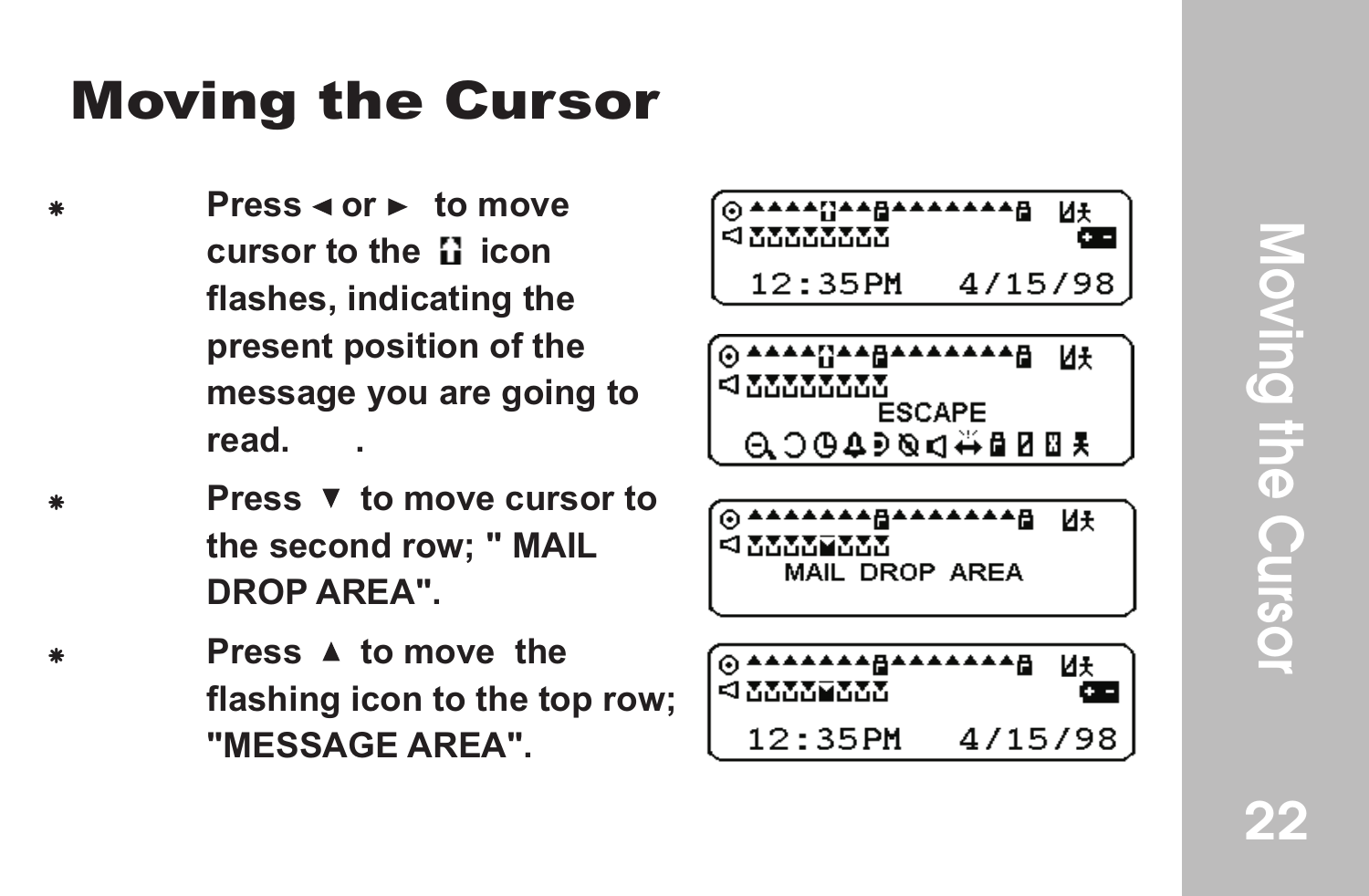### **Moving the Cursor**

- **Press**  $\triangleleft$  **or**  $\triangleright$  **to move cursor to the II icon flashes, indicating the present position of the message you are going to read. .**
	- **Press V** to move cursor to **the second row; " MAIL DROP AREA".**
	- **Press A to move the flashing icon to the top row; "MESSAGE AREA".**

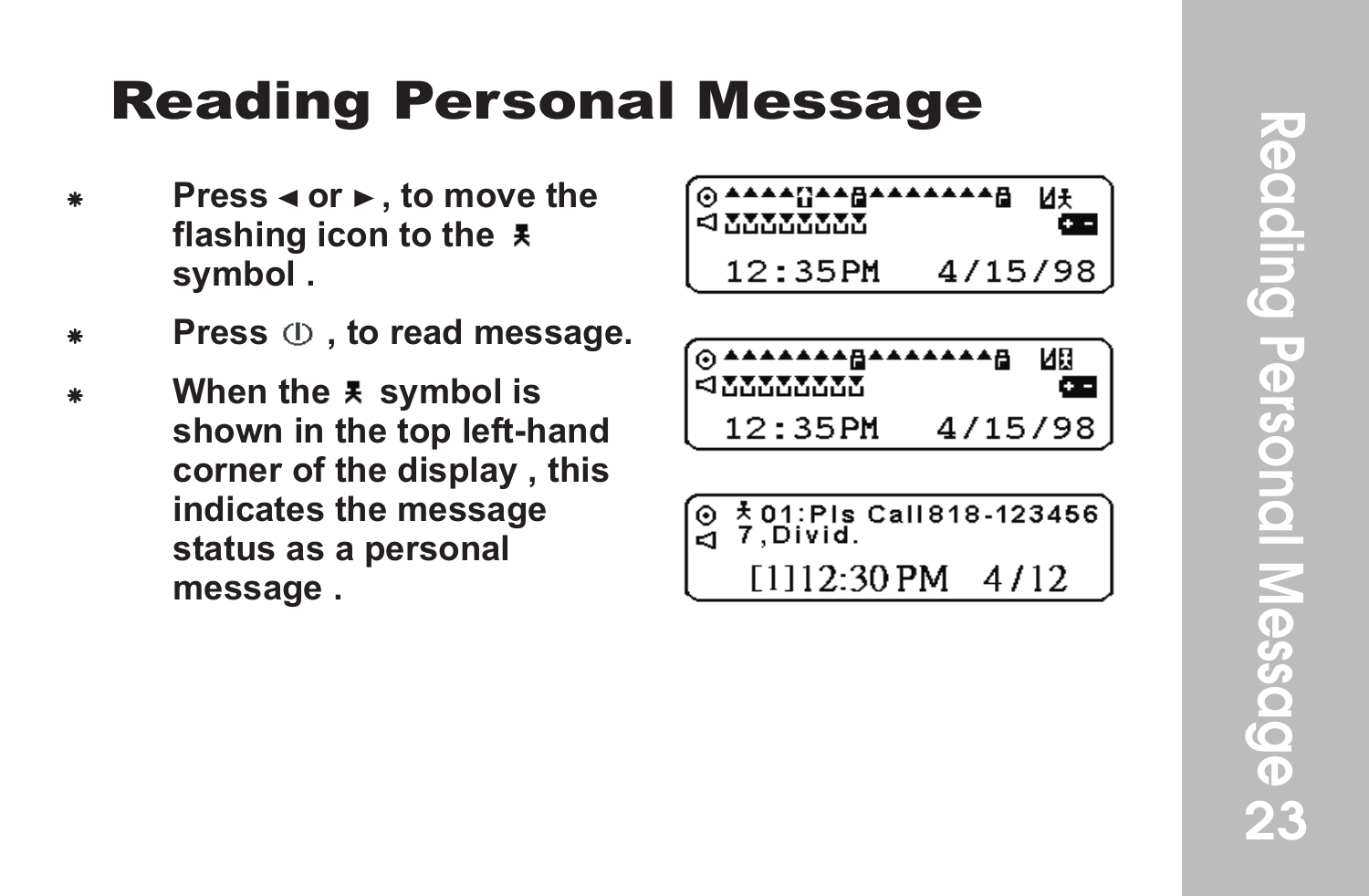#### **Reading Personal Message**

- **Press < or ►, to move the flashing icon to the symbol .**
- Press  $\oplus$  , to read message.
- When the  $\bar{x}$  symbol is **shown in the top left-hand corner of the display , this indicates the message status as a personal message .**

| ⊚ <del>▲▲▲▲</del> 대▲▲ਜ਼▲▲▲▲▲▲ਜ਼<br>$\leq$ , where $\sim$ |         |  |
|----------------------------------------------------------|---------|--|
| $12:35$ PM                                               | 4715798 |  |



$$
\begin{array}{c}\n\boxed{9 \stackrel{1}{\cancel{5}} 01:PIs \text{ Cal}1818.123456} \\
\boxed{9 \stackrel{7}{\cancel{5}} 01:PId} \\
\boxed{1112:30 \text{ PM} \quad 4/12}\n\end{array}
$$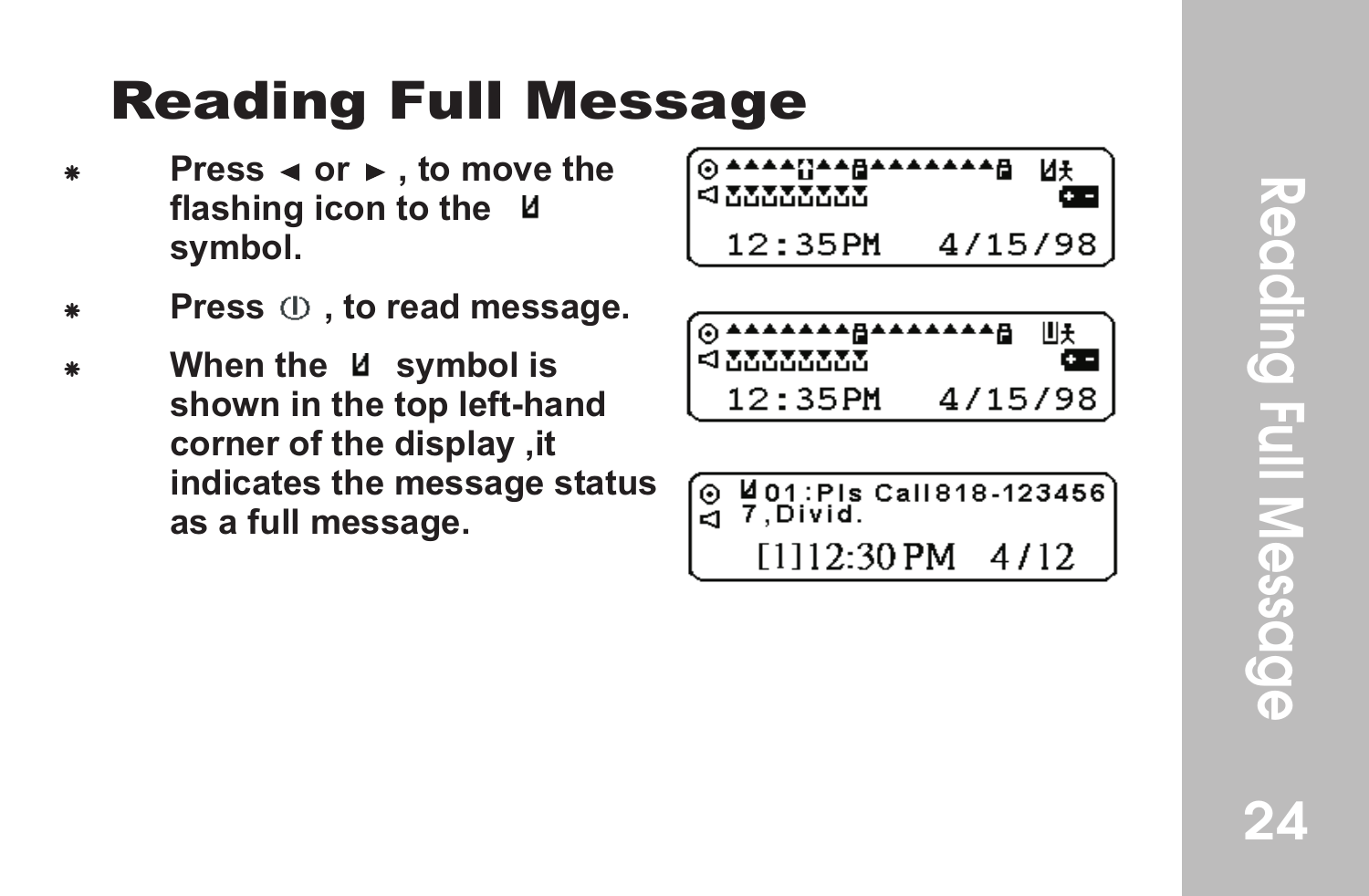#### **Reading Full Message**

- **Press**  $\triangleleft$  **or**  $\triangleright$  **, to move the flashing icon to the symbol.**
- Press  $\oplus$  , to read message.
- When the U symbol is **shown in the top left-hand corner of the display ,it indicates the message status as a full message.**



| @^^^^^^^^@^^^^^^^^<br><b>SIMMON AND</b> |         |  |
|-----------------------------------------|---------|--|
| 12:35PM                                 | 4715798 |  |

| ໌ ດ Mol : Pis Call 818-123456<br>$-7$ Divid. |  |  |  |
|----------------------------------------------|--|--|--|
|                                              |  |  |  |

 $[1]12:30$  PM  $4/12$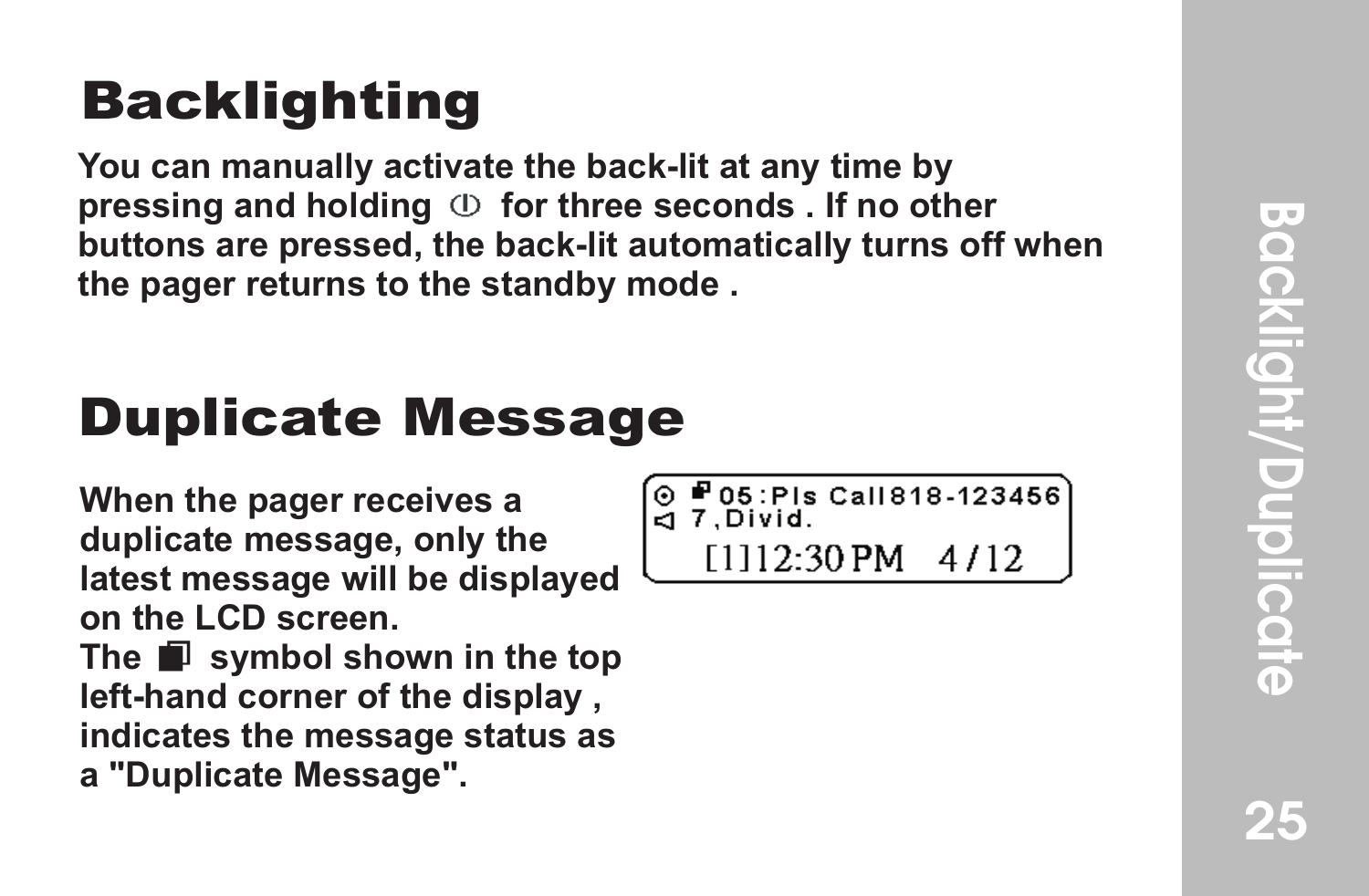#### **Backlighting**

**You can manually activate the back-lit at any time by pressing and holding**  $\circled{b}$  **for three seconds . If no other buttons are pressed, the back-lit automatically turns off when the pager returns to the standby mode .**

#### Duplicate Message

**When the pager receives a duplicate message, only the latest message will be displayed on the LCD screen. The** symbol shown in the top **left-hand corner of the display , indicates the message status as a "Duplicate Message".**

**P05:Pls Call 818-123456**  $-7.$  Divid. [1112:30 PM  $4/12$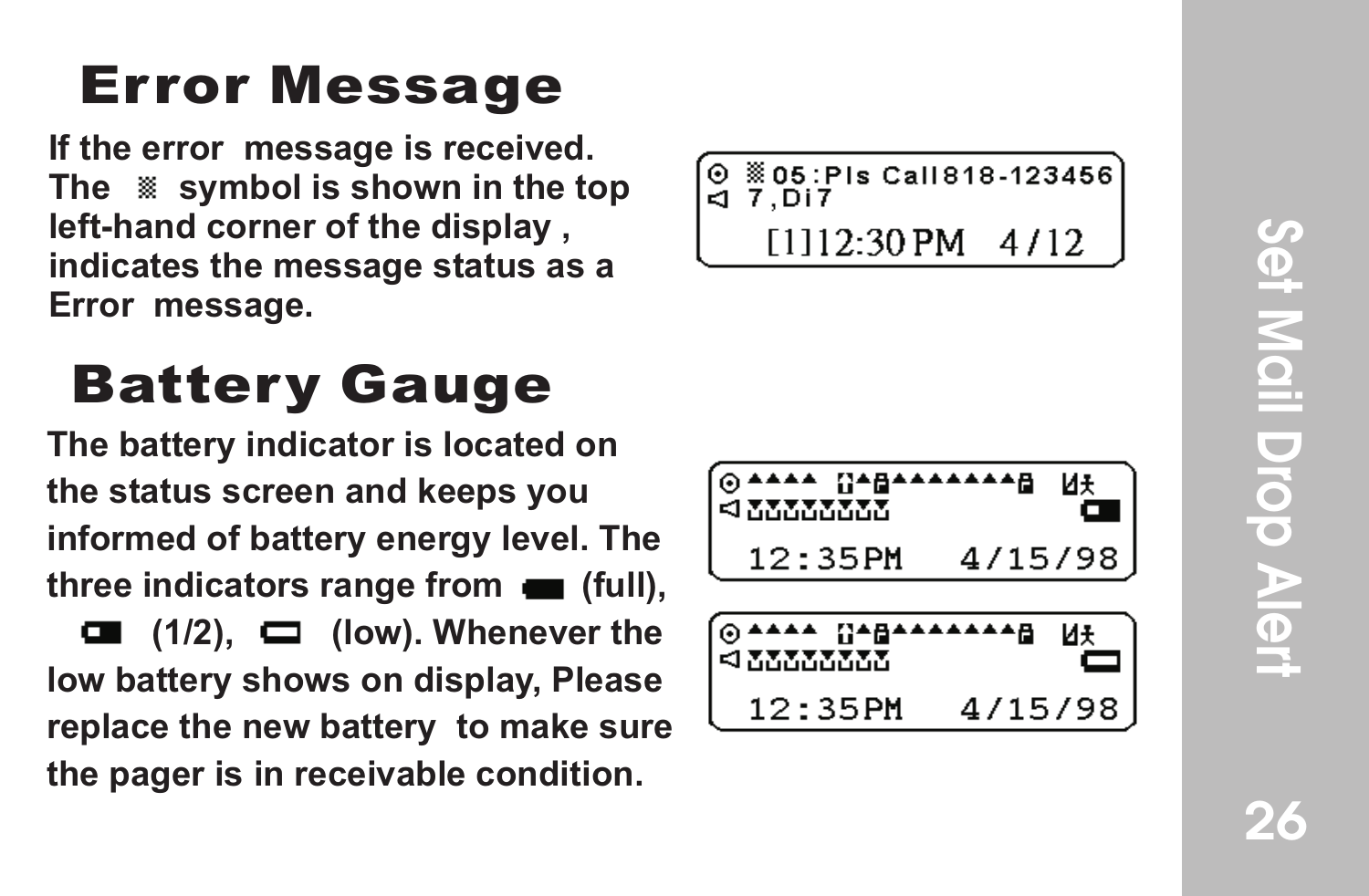**If the error message is received. The symbol is shown in the top left-hand corner of the display , indicates the message status as a Error Message**<br>If the error message is receive<br>The <sup>38</sup> symbol is shown in the<br>left-hand corner of the display<br>indicates the message status a<br>Error message.

### **Battery Gauge**

**The battery indicator is located on the status screen and keeps you informed of battery energy level. The**  three indicators range from **(full)**,  $\Box$  (1/2),  $\Box$  (low). Whenever the **low battery shows on display, Please replace the new battery to make sure the pager is in receivable condition.**

805: Pls Call 818-123456  $7.517$ ēп. [1112:30 PM  $4/12$ 

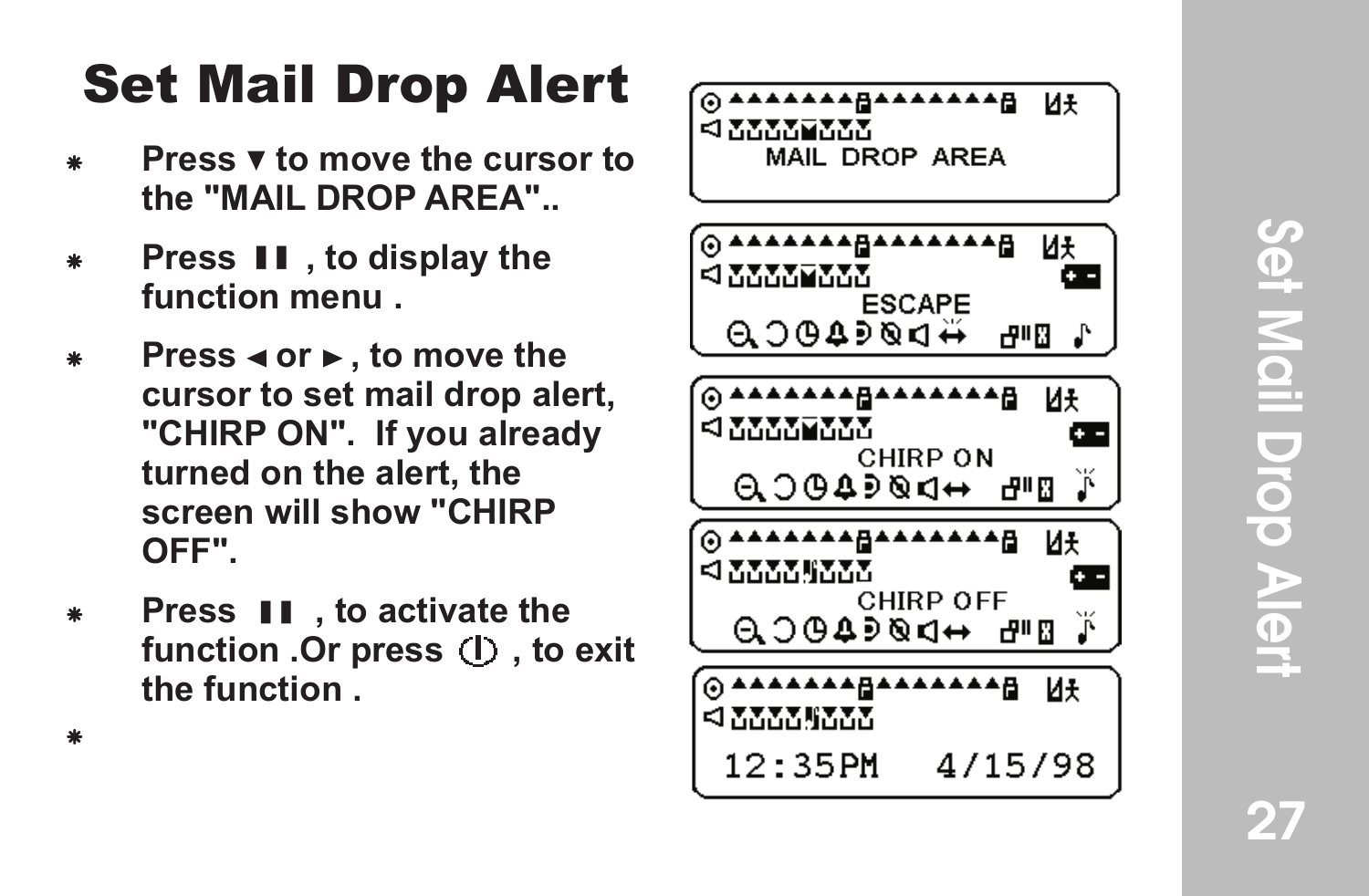# Set Mail Drop Alert<br>27 Set Mail Drop Aler!

#### Set Mail Drop Aler t

- **Press v to move the cursor to the "MAIL DROP AREA"..**
- **Press II**, to display the **function menu .**
- **Press < or ►, to move the cursor to set mail drop alert, "CHIRP ON". If you already turned on the alert, the screen will show "CHIRP OFF".**
- **Press II**, to activate the function .Or press (I) . to exit **the function .** F

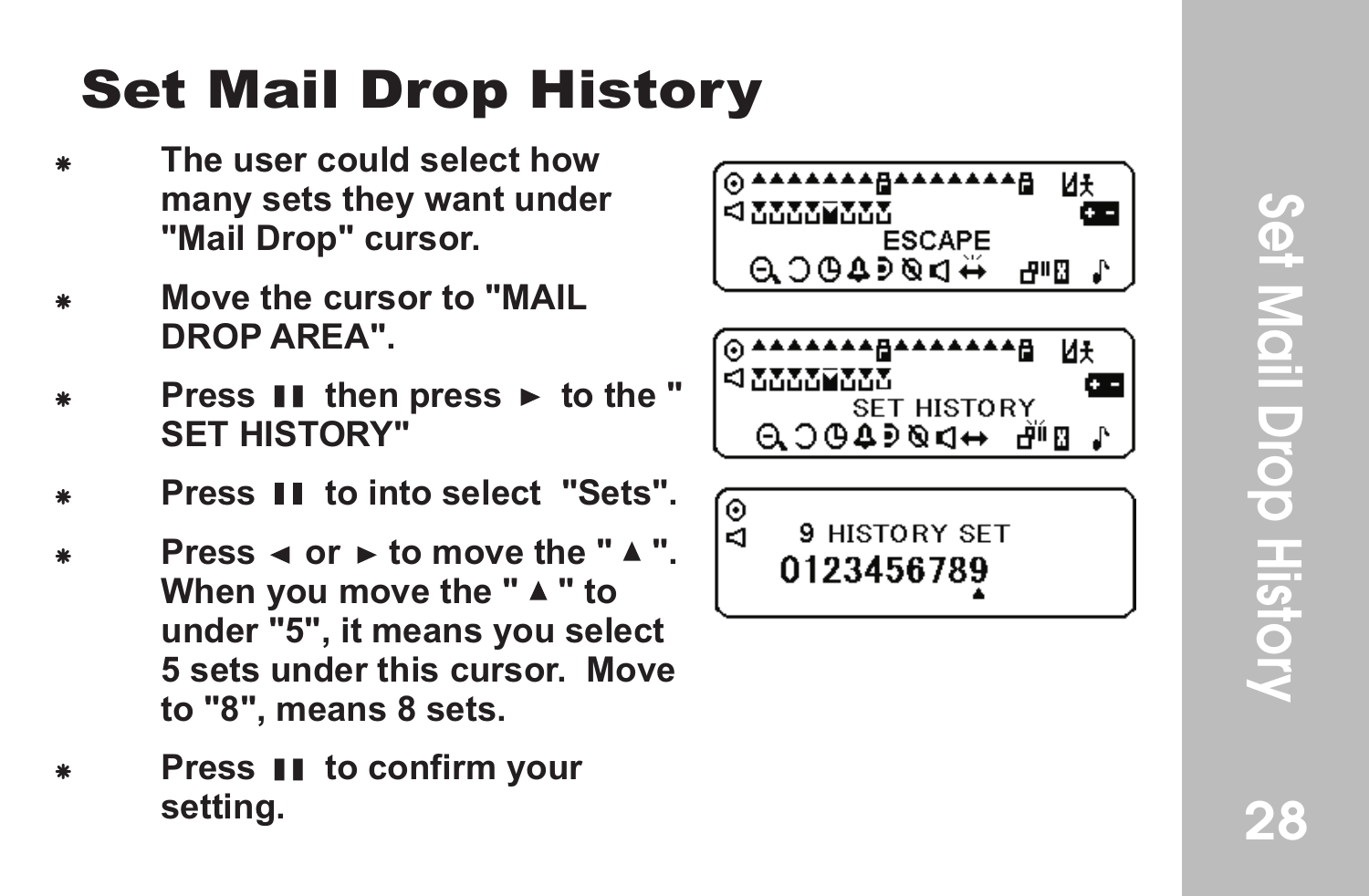28

#### Set Mail Drop History

- F **The user could select how many sets they want under "Mail Drop" cursor .**
- **Move the cursor to "MAIL DROP AREA".**
- **Press II then press ► to the " SET HISTORY"**
- **Press II to into select "Sets".**
- **Press**  $\triangleleft$  **or**  $\triangleright$  **to move the "** $\triangle$ **".** When you move the "  $\blacktriangle$  " to **under "5", it means you select 5 sets under this cursor. Move to "8", means 8 sets.**
- **Press II to confirm your setting.**

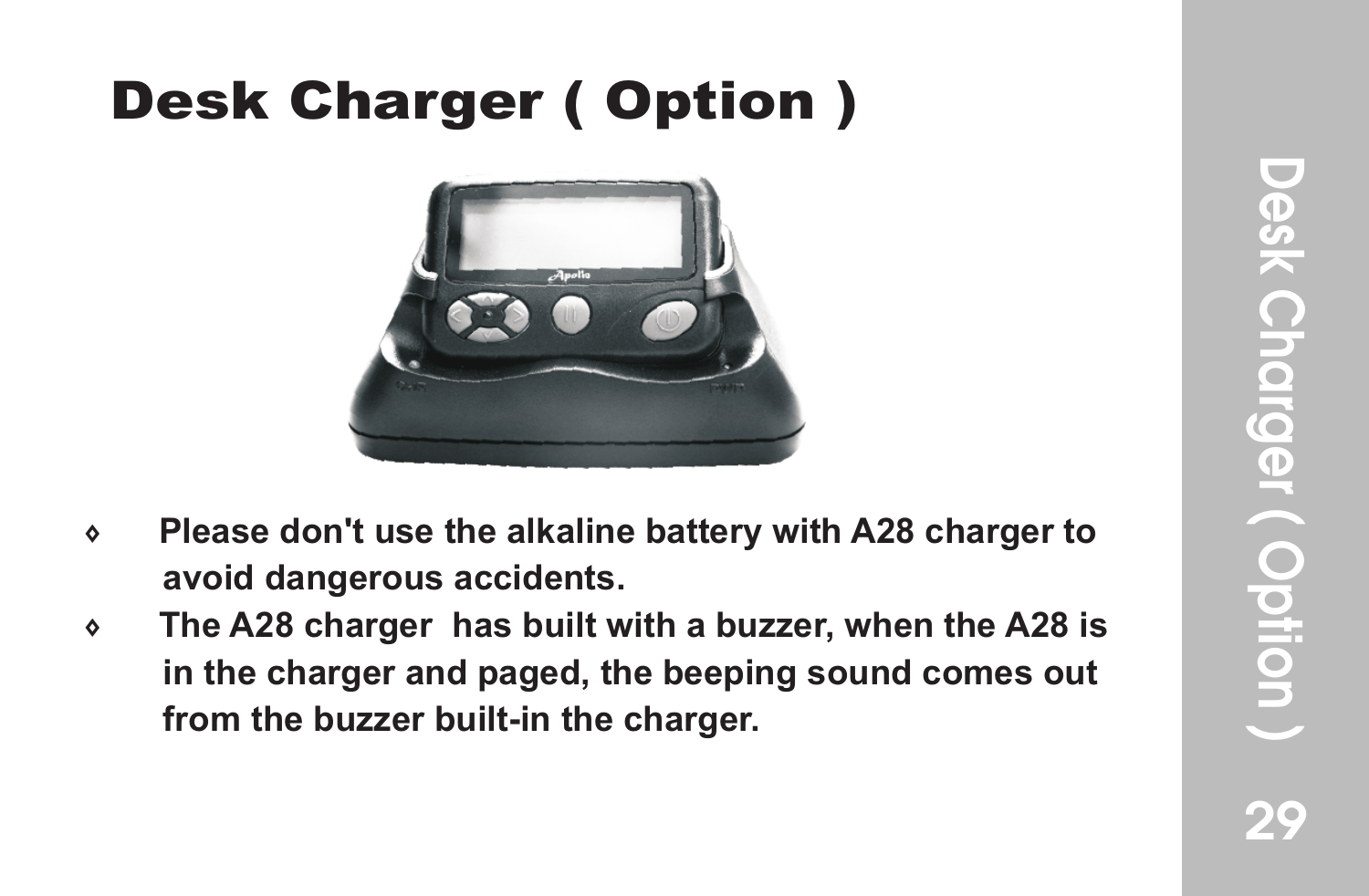#### Desk Charger ( Option )



- 7 **Please don't use the alkaline battery with A28 charger to avoid dangerous accidents.**
- 7 **The A28 charger has built with a buzzer, when the A28 is in the charger and paged, the beeping sound comes out from the buzzer built-in the charger.**